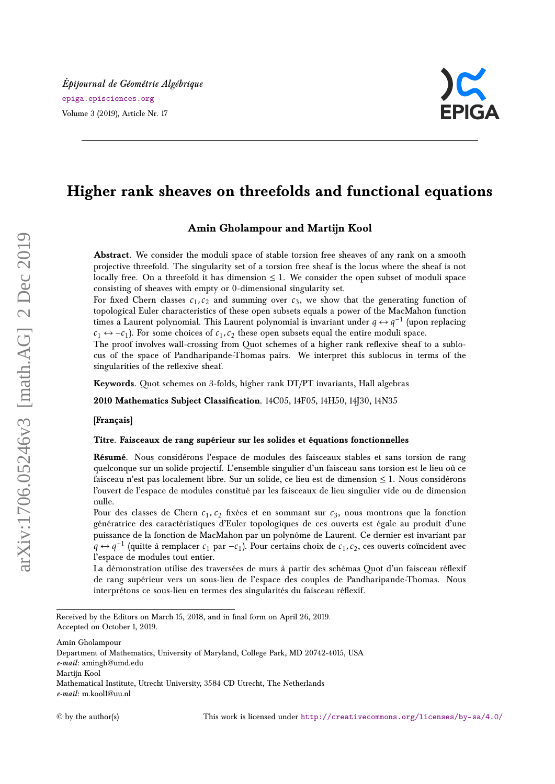

# **Higher rank sheaves on threefolds and functional equations**

## **Amin Gholampour and Martijn Kool**

Abstract. We consider the moduli space of stable torsion free sheaves of any rank on a smooth projective threefold. The singularity set of a torsion free sheaf is the locus where the sheaf is not locally free. On a threefold it has dimension  $\leq 1$ . We consider the open subset of moduli space consisting of sheaves with empty or 0-dimensional singularity set.

For fixed Chern classes  $c_1, c_2$  and summing over  $c_3$ , we show that the generating function of topological Euler characteristics of these open subsets equals a power of the MacMahon function times a Laurent polynomial. This Laurent polynomial is invariant under  $q \leftrightarrow q^{-1}$  (upon replacing  $c_1 \leftrightarrow -c_1$ ). For some choices of  $c_1, c_2$  these open subsets equal the entire moduli space.

The proof involves wall-crossing from Quot schemes of a higher rank reflexive sheaf to a sublocus of the space of Pandharipande-Thomas pairs. We interpret this sublocus in terms of the singularities of the reflexive sheaf.

**Keywords.** Quot schemes on 3-folds, higher rank DT/PT invariants, Hall algebras

**2010 Mathematics Subject Classification.** 14C05, 14F05, 14H50, 14J30, 14N35

**[Français]**

#### **Titre. Faisceaux de rang supérieur sur les solides et équations fonctionnelles**

**Résumé.** Nous considérons l'espace de modules des faisceaux stables et sans torsion de rang quelconque sur un solide projectif. L'ensemble singulier d'un faisceau sans torsion est le lieu où ce faisceau n'est pas localement libre. Sur un solide, ce lieu est de dimension  $\leq 1$ . Nous considérons l'ouvert de l'espace de modules constitué par les faisceaux de lieu singulier vide ou de dimension nulle.

Pour des classes de Chern  $c_1$ ,  $c_2$  fixées et en sommant sur  $c_3$ , nous montrons que la fonction génératrice des caractéristiques d'Euler topologiques de ces ouverts est égale au produit d'une puissance de la fonction de MacMahon par un polynôme de Laurent. Ce dernier est invariant par *q* ↔ *q*<sup>-1</sup> (quitte à remplacer *c*<sub>1</sub> par −*c*<sub>1</sub>). Pour certains choix de *c*<sub>1</sub>, *c*<sub>2</sub>, ces ouverts coïncident avec l'espace de modules tout entier.

La démonstration utilise des traversées de murs à partir des schémas Quot d'un faisceau réflexif de rang supérieur vers un sous-lieu de l'espace des couples de Pandharipande-Thomas. Nous interprétons ce sous-lieu en termes des singularités du faisceau réflexif.

Amin Gholampour

Received by the Editors on March 15, 2018, and in final form on April 26, 2019. Accepted on October 1, 2019.

Department of Mathematics, University of Maryland, College Park, MD 20742-4015, USA

*e-mail*: amingh@umd.edu

Martijn Kool

Mathematical Institute, Utrecht University, 3584 CD Utrecht, The Netherlands *e-mail*: m.kool1@uu.nl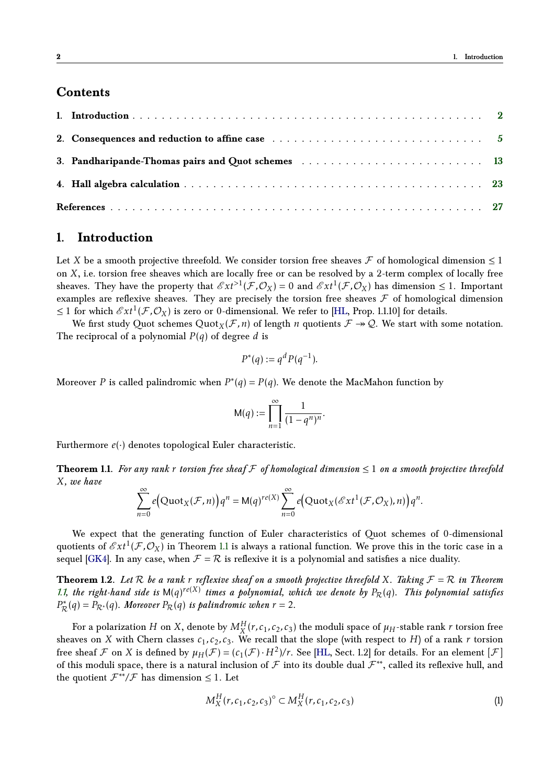## **Contents**

| 3. Pandharipande-Thomas pairs and Quot schemes  13 |  |
|----------------------------------------------------|--|
|                                                    |  |
|                                                    |  |

# <span id="page-1-0"></span>**1. Introduction**

Let *X* be a smooth projective threefold. We consider torsion free sheaves  $\mathcal F$  of homological dimension  $\leq 1$ on *X*, i.e. torsion free sheaves which are locally free or can be resolved by a 2-term complex of locally free sheaves. They have the property that  $\mathscr{E}xt^{>1}(\mathcal{F},\mathcal{O}_X) = 0$  and  $\mathscr{E}xt^{1}(\mathcal{F},\mathcal{O}_X)$  has dimension  $\leq 1$ . Important examples are reflexive sheaves. They are precisely the torsion free sheaves  $\mathcal F$  of homological dimension  $\leq$  1 for which  $\mathscr{E}xt^{1}(\mathcal{F},\mathcal{O}_{X})$  is zero or 0-dimensional. We refer to [\[HL,](#page-27-0) Prop. 1.1.10] for details.

We first study Quot schemes  $Quot_X(\mathcal{F}, n)$  of length *n* quotients  $\mathcal{F} \to \mathcal{Q}$ . We start with some notation. The reciprocal of a polynomial  $P(q)$  of degree *d* is

$$
P^*(q) := q^d P(q^{-1}).
$$

Moreover *P* is called palindromic when  $P^*(q) = P(q)$ . We denote the MacMahon function by

<span id="page-1-3"></span>
$$
M(q) := \prod_{n=1}^{\infty} \frac{1}{(1-q^n)^n}.
$$

<span id="page-1-1"></span>Furthermore  $e(\cdot)$  denotes topological Euler characteristic.

**Theorem 1.1.** For any rank *r* torsion free sheaf  $F$  of homological dimension  $\leq 1$  on a smooth projective threefold *X, we have*

$$
\sum_{n=0}^{\infty} e\big(\text{Quot}_X(\mathcal{F}, n)\big)q^n = M(q)^{re(X)}\sum_{n=0}^{\infty} e\big(\text{Quot}_X(\mathcal{E}xt^1(\mathcal{F}, \mathcal{O}_X), n)\big)q^n.
$$

We expect that the generating function of Euler characteristics of Quot schemes of 0-dimensional quotients of  $\mathscr{E}xt^1(\mathcal{F},\mathcal{O}_X)$  in Theorem [1.1](#page-1-1) is always a rational function. We prove this in the toric case in a sequel [\[GK4\]](#page-26-1). In any case, when  $\mathcal{F} = \mathcal{R}$  is reflexive it is a polynomial and satisfies a nice duality.

**Theorem 1.2.** Let  $R$  be a rank  $r$  reflexive sheaf on a smooth projective threefold  $X$ *. Taking*  $F = R$  in Theorem [1.1,](#page-1-1) the right-hand side is  $M(q)^{re(X)}$  times a polynomial, which we denote by  $P_{\mathcal{R}}(q)$ . This polynomial satisfies  $P^*_{\mathcal{R}}(q) = P_{\mathcal{R}^*}(q)$ *. Moreover*  $P_{\mathcal{R}}(q)$  *is palindromic when*  $r = 2$ *.* 

For a polarization  $H$  on  $X$ , denote by  $M_X^H(r, c_1, c_2, c_3)$  the moduli space of  $\mu_H$ -stable rank  $r$  torsion free sheaves on *X* with Chern classes  $c_1$ ,  $c_2$ ,  $c_3$ . We recall that the slope (with respect to *H*) of a rank *r* torsion free sheaf  $\mathcal F$  on  $X$  is defined by  $\mu_H(\mathcal F)=(c_1(\mathcal F)\cdot H^2)/r$ . See [\[HL,](#page-27-0) Sect. 1.2] for details. For an element  $[\mathcal F]$ of this moduli space, there is a natural inclusion of  $\mathcal F$  into its double dual  $\mathcal F^{**}$ , called its reflexive hull, and the quotient  $\mathcal{F}^{**}/\mathcal{F}$  has dimension  $\leq 1$ . Let

<span id="page-1-2"></span>
$$
M_X^H(r, c_1, c_2, c_3)^\circ \subset M_X^H(r, c_1, c_2, c_3)
$$
\n(1)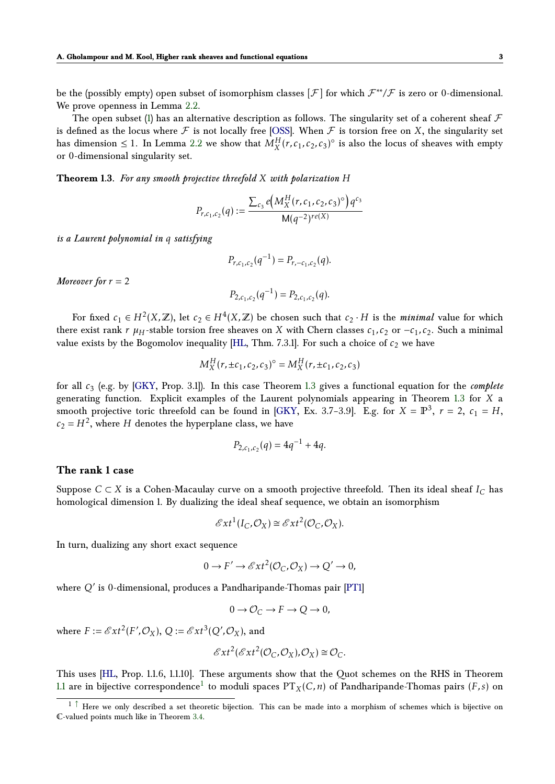be the (possibly empty) open subset of isomorphism classes [F ] for which F ∗∗*/*F is zero or 0-dimensional. We prove openness in Lemma [2.2.](#page-6-0)

The open subset [\(1\)](#page-1-2) has an alternative description as follows. The singularity set of a coherent sheaf  $\mathcal F$ is defined as the locus where  $\mathcal F$  is not locally free [\[OSS\]](#page-27-1). When  $\mathcal F$  is torsion free on  $X$ , the singularity set has dimension  $\leq 1$ . In Lemma [2.2](#page-6-0) we show that  $M_X^H(r, c_1, c_2, c_3)$ <sup>o</sup> is also the locus of sheaves with empty or 0-dimensional singularity set.

<span id="page-2-0"></span>**Theorem 1.3.** *For any smooth projective threefold X with polarization H*

$$
P_{r,c_1,c_2}(q) := \frac{\sum_{c_3} e\left(M_X^H(r,c_1,c_2,c_3)^\circ\right) q^{c_3}}{\mathsf{M}(q^{-2})^{re(X)}}
$$

*is a Laurent polynomial in q satisfying*

$$
P_{r,c_1,c_2}(q^{-1}) = P_{r,-c_1,c_2}(q).
$$

*Moreover for*  $r = 2$ 

$$
P_{2,c_1,c_2}(q^{-1}) = P_{2,c_1,c_2}(q).
$$

For fixed  $c_1 \in H^2(X,\mathbb{Z})$ , let  $c_2 \in H^4(X,\mathbb{Z})$  be chosen such that  $c_2 \cdot H$  is the *minimal* value for which there exist rank *r*  $\mu$ <sup>*H*</sup>-stable torsion free sheaves on *X* with Chern classes  $c_1$ ,  $c_2$  or  $-c_1$ ,  $c_2$ . Such a minimal value exists by the Bogomolov inequality [\[HL,](#page-27-0) Thm. 7.3.1]. For such a choice of  $c_2$  we have

$$
M_X^H(r, \pm c_1, c_2, c_3)^\circ = M_X^H(r, \pm c_1, c_2, c_3)
$$

for all *c*<sup>3</sup> (e.g. by [\[GKY,](#page-27-2) Prop. 3.1]). In this case Theorem [1.3](#page-2-0) gives a functional equation for the *complete* generating function. Explicit examples of the Laurent polynomials appearing in Theorem [1.3](#page-2-0) for *X* a smooth projective toric threefold can be found in [\[GKY,](#page-27-2) Ex. 3.7–3.9]. E.g. for  $X = \mathbb{P}^3$ ,  $r = 2$ ,  $c_1 = H$ ,  $c_2 = H^2$ , where *H* denotes the hyperplane class, we have

$$
P_{2,c_1,c_2}(q) = 4q^{-1} + 4q.
$$

#### **The rank 1 case**

Suppose  $C \subset X$  is a Cohen-Macaulay curve on a smooth projective threefold. Then its ideal sheaf  $I_C$  has homological dimension 1. By dualizing the ideal sheaf sequence, we obtain an isomorphism

$$
\mathscr{E}xt^{1}(I_{C},\mathcal{O}_{X})\cong \mathscr{E}xt^{2}(\mathcal{O}_{C},\mathcal{O}_{X}).
$$

In turn, dualizing any short exact sequence

$$
0 \to F' \to \mathcal{E}xt^2(\mathcal{O}_C, \mathcal{O}_X) \to Q' \to 0,
$$

where  $Q'$  is 0-dimensional, produces a Pandharipande-Thomas pair [\[PT1\]](#page-27-3)

$$
0 \to \mathcal{O}_C \to F \to Q \to 0,
$$

where  $F := \mathscr{E}xt^2(F', \mathcal{O}_X)$ ,  $Q := \mathscr{E}xt^3(Q', \mathcal{O}_X)$ , and

<span id="page-2-2"></span>
$$
\mathscr{E}xt^2(\mathscr{E}xt^2(\mathcal{O}_C,\mathcal{O}_X),\mathcal{O}_X) \cong \mathcal{O}_C.
$$

This uses [\[HL,](#page-27-0) Prop. 1.1.6, 1.1.10]. These arguments show that the Quot schemes on the RHS in Theorem  $1.1$  are in bijective correspondence $^1$  $^1$  to moduli spaces  $\mathrm{PT}_X(C,n)$  of Pandharipande-Thomas pairs  $(F,s)$  on

<span id="page-2-1"></span> $1 \uparrow$  Here we only described a set theoretic bijection. This can be made into a morphism of schemes which is bijective on C-valued points much like in Theorem [3.4.](#page-15-0)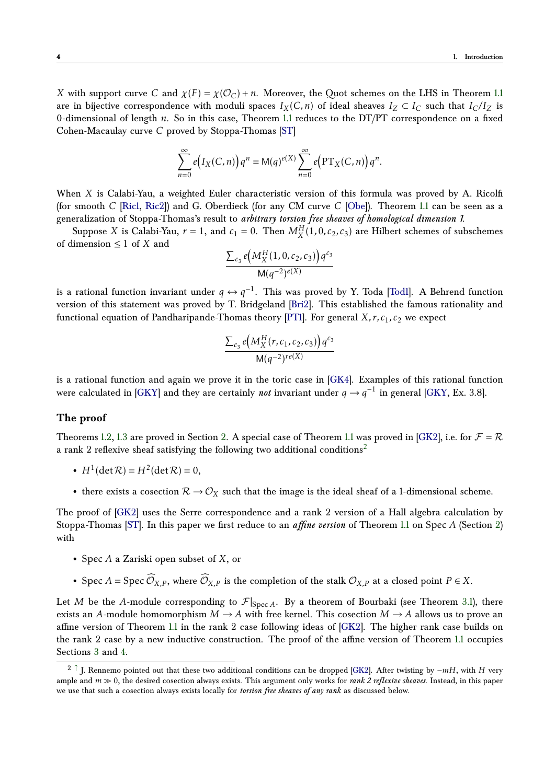*X* with support curve *C* and  $\chi(F) = \chi(\mathcal{O}_C) + n$ . Moreover, the Quot schemes on the LHS in Theorem [1.1](#page-1-1) are in bijective correspondence with moduli spaces  $I_X(C, n)$  of ideal sheaves  $I_Z \subset I_C$  such that  $I_C/I_Z$  is 0-dimensional of length *n*. So in this case, Theorem [1.1](#page-1-1) reduces to the DT/PT correspondence on a fixed Cohen-Macaulay curve *C* proved by Stoppa-Thomas [\[ST\]](#page-28-0)

$$
\sum_{n=0}^{\infty} e(I_X(C, n))q^n = M(q)^{e(X)} \sum_{n=0}^{\infty} e\big(\text{PT}_X(C, n)\big)q^n.
$$

When *X* is Calabi-Yau, a weighted Euler characteristic version of this formula was proved by A. Ricolfi (for smooth *C* [\[Ric1,](#page-27-4) [Ric2\]](#page-27-5)) and G. Oberdieck (for any CM curve *C* [\[Obe\]](#page-27-6)). Theorem [1.1](#page-1-1) can be seen as a generalization of Stoppa-Thomas's result to *arbitrary torsion free sheaves of homological dimension 1*.

Suppose *X* is Calabi-Yau,  $r = 1$ , and  $c_1 = 0$ . Then  $M_X^H(1, 0, c_2, c_3)$  are Hilbert schemes of subschemes of dimension ≤ 1 of *X* and

$$
\frac{\sum_{c_3} e\big(M_X^H(1,0,c_2,c_3)\big)q^{c_3}}{\mathsf{M}(q^{-2})^{e(X)}}
$$

is a rational function invariant under  $q \leftrightarrow q^{-1}$ . This was proved by Y. Toda [\[Tod1\]](#page-28-1). A Behrend function version of this statement was proved by T. Bridgeland [\[Bri2\]](#page-26-2). This established the famous rationality and functional equation of Pandharipande-Thomas theory [\[PT1\]](#page-27-3). For general *X*, r,  $c_1$ ,  $c_2$  we expect

<span id="page-3-1"></span>
$$
\frac{\sum_{c_3} e\left(M_X^H(r, c_1, c_2, c_3)\right) q^{c_3}}{\mathsf{M}(q^{-2})^{re(X)}}
$$

is a rational function and again we prove it in the toric case in [\[GK4\]](#page-26-1). Examples of this rational function were calculated in [\[GKY\]](#page-27-2) and they are certainly *not* invariant under  $q \to q^{-1}$  in general [\[GKY,](#page-27-2) Ex. 3.8].

#### **The proof**

Theorems [1.2,](#page-1-3) [1.3](#page-2-0) are proved in Section [2.](#page-4-0) A special case of Theorem [1.1](#page-1-1) was proved in [\[GK2\]](#page-26-3), i.e. for  $\mathcal{F} = \mathcal{R}$ a rank 2 reflexive sheaf satisfying the following two additional conditions[2](#page-3-0)

- $H^1(\det \mathcal{R}) = H^2(\det \mathcal{R}) = 0$ ,
- there exists a cosection  $\mathcal{R} \to \mathcal{O}_X$  such that the image is the ideal sheaf of a 1-dimensional scheme.

The proof of [\[GK2\]](#page-26-3) uses the Serre correspondence and a rank 2 version of a Hall algebra calculation by Stoppa-Thomas [\[ST\]](#page-28-0). In this paper we first reduce to an *affine version* of Theorem [1.1](#page-1-1) on Spec *A* (Section [2\)](#page-4-0) with

- Spec *A* a Zariski open subset of *X*, or
- Spec *A* = Spec  $\widehat{\mathcal{O}}_{X,P}$ , where  $\widehat{\mathcal{O}}_{X,P}$  is the completion of the stalk  $\mathcal{O}_{X,P}$  at a closed point  $P \in X$ .

Let *M* be the *A*-module corresponding to  $\mathcal{F}|_{\text{Spec } A}$ . By a theorem of Bourbaki (see Theorem [3.1\)](#page-13-0), there exists an *A*-module homomorphism  $M \to A$  with free kernel. This cosection  $M \to A$  allows us to prove an affine version of Theorem [1.1](#page-1-1) in the rank 2 case following ideas of [\[GK2\]](#page-26-3). The higher rank case builds on the rank 2 case by a new inductive construction. The proof of the affine version of Theorem [1.1](#page-1-1) occupies Sections [3](#page-12-0) and [4.](#page-22-0)

<span id="page-3-0"></span><sup>2</sup> [↑](#page-3-1) J. Rennemo pointed out that these two additional conditions can be dropped [\[GK2\]](#page-26-3). After twisting by −*mH*, with *H* very ample and  $m \gg 0$ , the desired cosection always exists. This argument only works for *rank 2 reflexive sheaves*. Instead, in this paper we use that such a cosection always exists locally for *torsion free sheaves of any rank* as discussed below.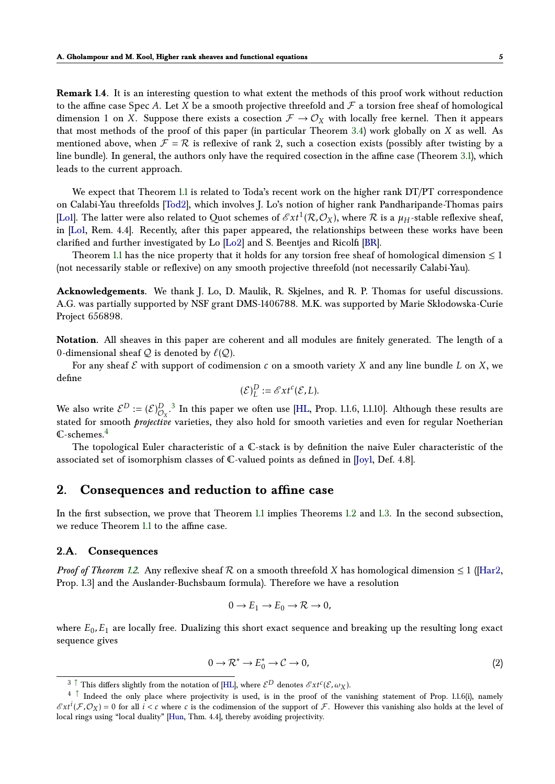**Remark 1.4.** It is an interesting question to what extent the methods of this proof work without reduction to the affine case Spec A. Let *X* be a smooth projective threefold and  $F$  a torsion free sheaf of homological dimension 1 on *X*. Suppose there exists a cosection  $\mathcal{F} \to \mathcal{O}_X$  with locally free kernel. Then it appears that most methods of the proof of this paper (in particular Theorem [3.4\)](#page-15-0) work globally on *X* as well. As mentioned above, when  $\mathcal{F} = \mathcal{R}$  is reflexive of rank 2, such a cosection exists (possibly after twisting by a line bundle). In general, the authors only have the required cosection in the affine case (Theorem [3.1\)](#page-13-0), which leads to the current approach.

We expect that Theorem [1.1](#page-1-1) is related to Toda's recent work on the higher rank DT/PT correspondence on Calabi-Yau threefolds [\[Tod2\]](#page-28-2), which involves J. Lo's notion of higher rank Pandharipande-Thomas pairs [\[Lo1\]](#page-27-7). The latter were also related to Quot schemes of  $\mathscr{E}xt^1(\mathcal{R},\mathcal{O}_X)$ , where  $\mathcal R$  is a  $\mu_H$ -stable reflexive sheaf, in [\[Lo1,](#page-27-7) Rem. 4.4]. Recently, after this paper appeared, the relationships between these works have been clarified and further investigated by Lo [\[Lo2\]](#page-27-8) and S. Beentjes and Ricolfi [\[BR\]](#page-26-4).

Theorem [1.1](#page-1-1) has the nice property that it holds for any torsion free sheaf of homological dimension  $\leq 1$ (not necessarily stable or reflexive) on any smooth projective threefold (not necessarily Calabi-Yau).

**Acknowledgements.** We thank J. Lo, D. Maulik, R. Skjelnes, and R. P. Thomas for useful discussions. A.G. was partially supported by NSF grant DMS-1406788. M.K. was supported by Marie Skłodowska-Curie Project 656898.

**Notation.** All sheaves in this paper are coherent and all modules are finitely generated. The length of a 0-dimensional sheaf  $Q$  is denoted by  $\ell(Q)$ .

For any sheaf  $\mathcal E$  with support of codimension  $c$  on a smooth variety  $X$  and any line bundle  $L$  on  $X$ , we define

<span id="page-4-3"></span>
$$
(\mathcal{E})_L^D := \mathscr{E}xt^c(\mathcal{E},L).
$$

We also write  $\mathcal{E}^D := (\mathcal{E})^D_{\mathcal{O}_X}$ .<sup>[3](#page-4-1)</sup> In this paper we often use [\[HL,](#page-27-0) Prop. 1.1.6, 1.1.10]. Although these results are stated for smooth *projective* varieties, they also hold for smooth varieties and even for regular Noetherian  $\mathbb{C}$ -schemes.<sup>[4](#page-4-2)</sup>

<span id="page-4-4"></span>The topological Euler characteristic of a C-stack is by definition the naive Euler characteristic of the associated set of isomorphism classes of C-valued points as defined in [\[Joy1,](#page-27-9) Def. 4.8].

## <span id="page-4-0"></span>**2. Consequences and reduction to affine case**

In the first subsection, we prove that Theorem [1.1](#page-1-1) implies Theorems [1.2](#page-1-3) and [1.3.](#page-2-0) In the second subsection, we reduce Theorem [1.1](#page-1-1) to the affine case.

## **2.A. Consequences**

*Proof of Theorem [1.2.](#page-1-3)* Any reflexive sheaf  $R$  on a smooth threefold *X* has homological dimension  $\leq 1$  ([\[Har2,](#page-27-10) Prop. 1.3] and the Auslander-Buchsbaum formula). Therefore we have a resolution

<span id="page-4-5"></span>
$$
0 \to E_1 \to E_0 \to \mathcal{R} \to 0,
$$

where  $E_0$ ,  $E_1$  are locally free. Dualizing this short exact sequence and breaking up the resulting long exact sequence gives

$$
0 \to \mathcal{R}^* \to E_0^* \to \mathcal{C} \to 0,\tag{2}
$$

<span id="page-4-2"></span><span id="page-4-1"></span> $3 \uparrow$  This differs slightly from the notation of [\[HL\]](#page-27-0), where  $\mathcal{E}^D$  denotes  $\mathcal{E}xt^c(\mathcal{E},\omega_X)$ .

<sup>4&</sup>lt;sup>1</sup> Indeed the only place where projectivity is used, is in the proof of the vanishing statement of Prop. 1.1.6(i), namely  $\mathscr{E}xt^{i}(\mathcal{F},\mathcal{O}_{X})=0$  for all  $i < c$  where  $c$  is the codimension of the support of  $\mathcal{F}$ . However this vanishing also holds at the level of local rings using "local duality" [\[Hun,](#page-27-11) Thm. 4.4], thereby avoiding projectivity.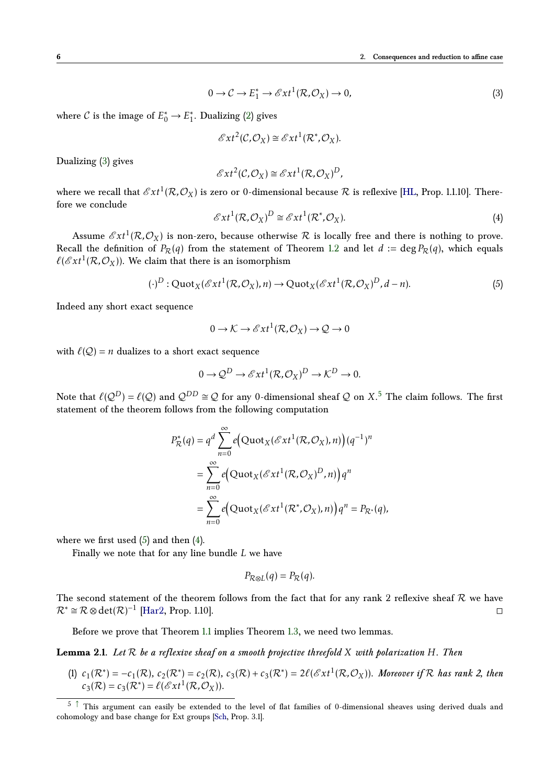$$
0 \to \mathcal{C} \to E_1^* \to \mathcal{E}xt^1(\mathcal{R}, \mathcal{O}_X) \to 0,
$$
\n(3)

where *C* is the image of  $E_0^* \to E_1^*$  $_1^*$ . Dualizing [\(2\)](#page-4-5) gives

<span id="page-5-0"></span>
$$
\mathscr{E}xt^2(\mathcal{C},\mathcal{O}_X)\cong \mathscr{E}xt^1(\mathcal{R}^*,\mathcal{O}_X).
$$

Dualizing [\(3\)](#page-5-0) gives

$$
\mathscr{E}xt^2(\mathcal{C},\mathcal{O}_X)\cong \mathscr{E}xt^1(\mathcal{R},\mathcal{O}_X)^D,
$$

where we recall that  $\mathscr{E}xt^1(\mathcal{R},\mathcal{O}_X)$  is zero or 0-dimensional because  $\mathcal R$  is reflexive [\[HL,](#page-27-0) Prop. 1.1.10]. Therefore we conclude

<span id="page-5-3"></span>
$$
\mathcal{E}xt^{1}(\mathcal{R},\mathcal{O}_{X})^{D} \cong \mathcal{E}xt^{1}(\mathcal{R}^{*},\mathcal{O}_{X}).
$$
\n(4)

Assume  $\mathscr{E}xt^1(\mathcal{R},\mathcal{O}_X)$  is non-zero, because otherwise  $\mathcal R$  is locally free and there is nothing to prove. Recall the definition of  $P_R(q)$  from the statement of Theorem [1.2](#page-1-3) and let  $d := \deg P_R(q)$ , which equals  $\ell$ (Ext<sup>1</sup>(R,O<sub>X</sub>)). We claim that there is an isomorphism

<span id="page-5-2"></span>
$$
(\cdot)^D : \text{Quot}_X(\mathscr{E}xt^1(\mathcal{R}, \mathcal{O}_X), n) \to \text{Quot}_X(\mathscr{E}xt^1(\mathcal{R}, \mathcal{O}_X)^D, d - n). \tag{5}
$$

Indeed any short exact sequence

<span id="page-5-4"></span>
$$
0 \to \mathcal{K} \to \mathcal{E}xt^1(\mathcal{R}, \mathcal{O}_X) \to \mathcal{Q} \to 0
$$

with  $\ell(Q) = n$  dualizes to a short exact sequence

$$
0 \to \mathcal{Q}^D \to \mathcal{E}xt^1(\mathcal{R}, \mathcal{O}_X)^D \to \mathcal{K}^D \to 0.
$$

Note that  $\ell(Q^D) = \ell(Q)$  and  $\mathcal{Q}^{DD} \cong \mathcal{Q}$  for any 0-dimensional sheaf  $\mathcal Q$  on  $X_\cdot$ <sup>[5](#page-5-1)</sup> The claim follows. The first statement of the theorem follows from the following computation

$$
P_{\mathcal{R}}^*(q) = q^d \sum_{n=0}^{\infty} e\Big( \text{Quot}_X(\mathcal{E}xt^1(\mathcal{R}, \mathcal{O}_X), n) \Big) (q^{-1})^n
$$
  
= 
$$
\sum_{n=0}^{\infty} e\Big( \text{Quot}_X(\mathcal{E}xt^1(\mathcal{R}, \mathcal{O}_X)^D, n) \Big) q^n
$$
  
= 
$$
\sum_{n=0}^{\infty} e\Big( \text{Quot}_X(\mathcal{E}xt^1(\mathcal{R}^*, \mathcal{O}_X), n) \Big) q^n = P_{\mathcal{R}^*}(q),
$$

where we first used  $(5)$  and then  $(4)$ .

Finally we note that for any line bundle *L* we have

<span id="page-5-5"></span>
$$
P_{\mathcal{R}\otimes L}(q)=P_{\mathcal{R}}(q).
$$

The second statement of the theorem follows from the fact that for any rank 2 reflexive sheaf  $R$  we have  $\mathcal{R}^* \cong \mathcal{R} \otimes \det(\mathcal{R})^{-1}$  [\[Har2,](#page-27-10) Prop. 1.10].

Before we prove that Theorem [1.1](#page-1-1) implies Theorem [1.3,](#page-2-0) we need two lemmas.

**Lemma 2.1.** *Let* R *be a reflexive sheaf on a smooth projective threefold X with polarization H. Then*

(1)  $c_1(\mathcal{R}^*) = -c_1(\mathcal{R})$ ,  $c_2(\mathcal{R}^*) = c_2(\mathcal{R})$ ,  $c_3(\mathcal{R}) + c_3(\mathcal{R}^*) = 2\ell(\mathscr{E}xt^1(\mathcal{R},\mathcal{O}_X))$ . Moreover if  $\mathcal{R}$  has rank 2, then  $c_3(\mathcal{R}) = c_3(\mathcal{R}^*) = \ell(\mathscr{E}xt^1(\mathcal{R}, \mathcal{O}_X)).$ 

<span id="page-5-1"></span> $5$   $\uparrow$  This argument can easily be extended to the level of flat families of 0-dimensional sheaves using derived duals and cohomology and base change for Ext groups [\[Sch,](#page-27-12) Prop. 3.1].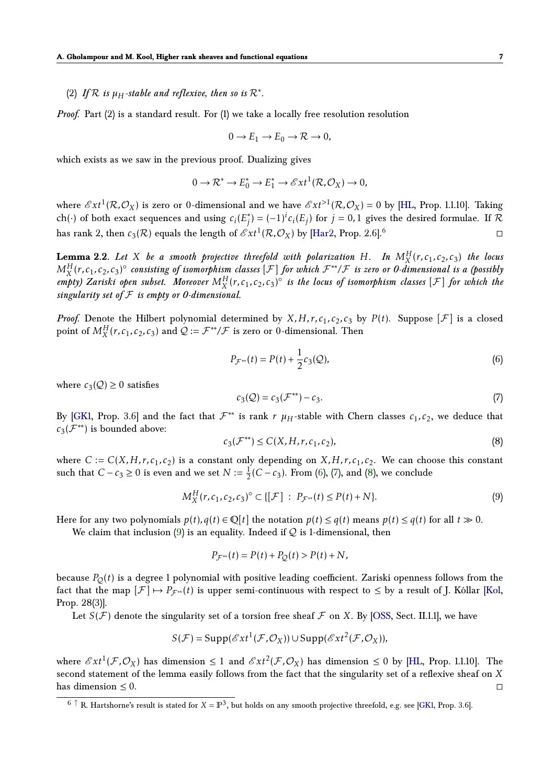# (2) If  $\mathcal{R}$  is  $\mu_H$ -stable and reflexive, then so is  $\mathcal{R}^*$ .

*Proof.* Part (2) is a standard result. For (1) we take a locally free resolution resolution

<span id="page-6-6"></span>
$$
0 \to E_1 \to E_0 \to \mathcal{R} \to 0,
$$

which exists as we saw in the previous proof. Dualizing gives

$$
0 \to \mathcal{R}^* \to E_0^* \to E_1^* \to \mathcal{E}xt^1(\mathcal{R}, \mathcal{O}_X) \to 0,
$$

where  $\mathscr{E}xt^1(\mathcal{R},\mathcal{O}_X)$  is zero or 0-dimensional and we have  $\mathscr{E}xt^{>1}(\mathcal{R},\mathcal{O}_X)=0$  by [\[HL,](#page-27-0) Prop. 1.1.10]. Taking ch(·) of both exact sequences and using  $c_i(E_j)$ *j*<sup>∤</sup>) =  $(-1)^i c_i(E_j)$  for *j* = 0,1 gives the desired formulae. If  $\mathcal{R}$ has rank 2, then  $c_3(\mathcal{R})$  equals the length of  $\mathscr{E}xt^1(\mathcal{R},\mathcal{O}_X)$  by [\[Har2,](#page-27-10) Prop. 2.[6](#page-6-1)].<sup>6</sup>

<span id="page-6-0"></span>**Lemma 2.2.** Let X be a smooth projective threefold with polarization H. In  $M_X^H(r, c_1, c_2, c_3)$  the locus *M*<sub>*X*</sub>(*r*, *c*<sub>1</sub>, *c*<sub>2</sub>, *c*<sub>3</sub>)
<sup>o</sup> consisting of isomorphism classes [*F*] *for which*  $\mathcal{F}^*$ */F is zero or 0-dimensional is a (possibly*)  $\hat{f}(m)$  *Zariski open subset.* Moreover  $M_X^H(r, c_1, c_2, c_3)$ <sup>o</sup> is the locus of isomorphism classes [ $\mathcal{F}$ ] for which the *singularity set of* F *is empty or 0-dimensional.*

*Proof.* Denote the Hilbert polynomial determined by  $X, H, r, c_1, c_2, c_3$  by  $P(t)$ . Suppose  $[\mathcal{F}]$  is a closed point of  $M_X^H(r, c_1, c_2, c_3)$  and  $\mathcal{Q} := \mathcal{F}^{**}/\mathcal{F}$  is zero or 0-dimensional. Then

<span id="page-6-2"></span>
$$
P_{\mathcal{F}^{**}}(t) = P(t) + \frac{1}{2}c_3(\mathcal{Q}),
$$
\n(6)

where  $c_3(Q) \geq 0$  satisfies

<span id="page-6-3"></span>
$$
c_3(Q) = c_3(\mathcal{F}^{**}) - c_3.
$$
 (7)

By [\[GK1,](#page-26-5) Prop. 3.6] and the fact that  $\mathcal{F}^{**}$  is rank  $r$   $\mu$ <sub>H</sub>-stable with Chern classes  $c_1, c_2$ , we deduce that  $c_3(\mathcal{F}^{**})$  is bounded above:

<span id="page-6-4"></span>
$$
c_3(\mathcal{F}^{**}) \le C(X, H, r, c_1, c_2),\tag{8}
$$

where  $C := C(X, H, r, c_1, c_2)$  is a constant only depending on  $X, H, r, c_1, c_2$ . We can choose this constant such that  $C - c_3 \ge 0$  is even and we set  $N := \frac{1}{2}(C - c_3)$ . From [\(6\)](#page-6-2), [\(7\)](#page-6-3), and [\(8\)](#page-6-4), we conclude

<span id="page-6-5"></span>
$$
M_X^H(r, c_1, c_2, c_3)^\circ \subset \{ [\mathcal{F}] : P_{\mathcal{F}^{**}}(t) \le P(t) + N \}.
$$
 (9)

Here for any two polynomials  $p(t), q(t) \in \mathbb{Q}[t]$  the notation  $p(t) \leq q(t)$  means  $p(t) \leq q(t)$  for all  $t \gg 0$ .

We claim that inclusion [\(9\)](#page-6-5) is an equality. Indeed if  $Q$  is 1-dimensional, then

$$
P_{\mathcal{F}^{**}}(t) = P(t) + P_Q(t) > P(t) + N,
$$

because  $P_Q(t)$  is a degree 1 polynomial with positive leading coefficient. Zariski openness follows from the fact that the map  $[\mathcal{F}] \mapsto P_{\mathcal{F}^{**}}(t)$  is upper semi-continuous with respect to  $\leq$  by a result of J. Kóllar [\[Kol,](#page-27-13) Prop. 28(3)].

Let  $S(\mathcal{F})$  denote the singularity set of a torsion free sheaf  $\mathcal F$  on *X*. By [\[OSS,](#page-27-1) Sect. II.1.1], we have

$$
S(\mathcal{F}) = \text{Supp}(\mathscr{E}xt^{1}(\mathcal{F}, \mathcal{O}_{X})) \cup \text{Supp}(\mathscr{E}xt^{2}(\mathcal{F}, \mathcal{O}_{X})),
$$

where  $\mathscr{E}xt^1(\mathcal{F},\mathcal{O}_X)$  has dimension  $\leq 1$  and  $\mathscr{E}xt^2(\mathcal{F},\mathcal{O}_X)$  has dimension  $\leq 0$  by [\[HL,](#page-27-0) Prop. 1.1.10]. The second statement of the lemma easily follows from the fact that the singularity set of a reflexive sheaf on *X* has dimension  $\leq 0$ .

<span id="page-6-1"></span> $6 \uparrow R$ . Hartshorne's result is stated for  $X = \mathbb{P}^3$ , but holds on any smooth projective threefold, e.g. see [\[GK1,](#page-26-5) Prop. 3.6].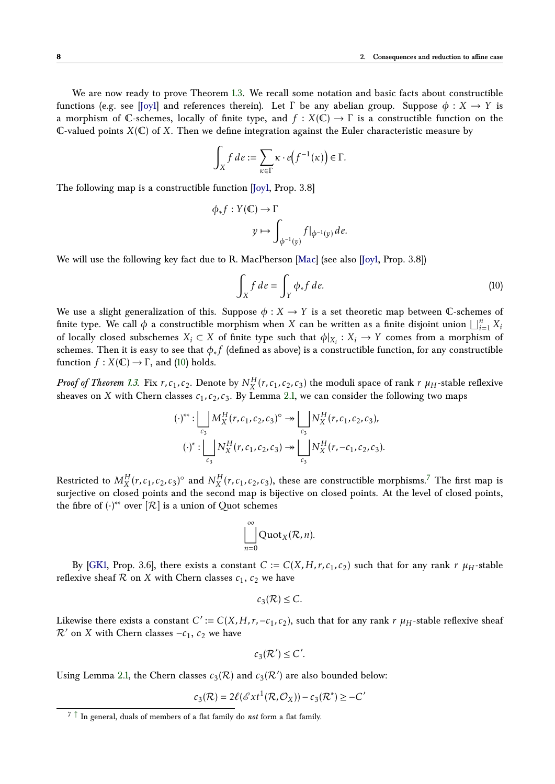We are now ready to prove Theorem [1.3.](#page-2-0) We recall some notation and basic facts about constructible functions (e.g. see [\[Joy1\]](#page-27-9) and references therein). Let  $\Gamma$  be any abelian group. Suppose  $\phi : X \to Y$  is a morphism of C-schemes, locally of finite type, and  $f: X(\mathbb{C}) \to \Gamma$  is a constructible function on the C-valued points  $X(\mathbb{C})$  of X. Then we define integration against the Euler characteristic measure by

$$
\int_X f \, de := \sum_{\kappa \in \Gamma} \kappa \cdot e\big(f^{-1}(\kappa)\big) \in \Gamma.
$$

The following map is a constructible function [\[Joy1,](#page-27-9) Prop. 3.8]

$$
\phi_* f : Y(\mathbb{C}) \to \Gamma
$$
  

$$
y \mapsto \int_{\phi^{-1}(y)} f|_{\phi^{-1}(y)} d e.
$$

We will use the following key fact due to R. MacPherson [\[Mac\]](#page-27-14) (see also [\[Joy1,](#page-27-9) Prop. 3.8])

<span id="page-7-0"></span>
$$
\int_X f \, de = \int_Y \phi_* f \, de. \tag{10}
$$

We use a slight generalization of this. Suppose  $\phi: X \to Y$  is a set theoretic map between C-schemes of finite type. We call  $\phi$  a constructible morphism when *X* can be written as a finite disjoint union  $\bigsqcup_{i=1}^{n} X_i$ of locally closed subschemes  $X_i \subset X$  of finite type such that  $\phi|_{X_i}: X_i \to Y$  comes from a morphism of schemes. Then it is easy to see that *φ*∗ *f* (defined as above) is a constructible function, for any constructible function  $f: X(\mathbb{C}) \to \Gamma$ , and [\(10\)](#page-7-0) holds.

*Proof of Theorem [1.3.](#page-2-0)* Fix  $r, c_1, c_2$ . Denote by  $N_X^H(r, c_1, c_2, c_3)$  the moduli space of rank  $r$   $\mu_H$ -stable reflexive sheaves on *X* with Chern classes  $c_1$ ,  $c_2$ ,  $c_3$ . By Lemma [2.1,](#page-5-5) we can consider the following two maps

$$
(\cdot)^{**}: \bigsqcup_{c_3} M_X^H(r, c_1, c_2, c_3)^\circ \twoheadrightarrow \bigsqcup_{c_3} N_X^H(r, c_1, c_2, c_3),
$$

$$
(\cdot)^{*}: \bigsqcup_{c_3} N_X^H(r, c_1, c_2, c_3) \twoheadrightarrow \bigsqcup_{c_3} N_X^H(r, -c_1, c_2, c_3).
$$

Restricted to  $M_X^H(r,c_1,c_2,c_3)^\circ$  and  $N_X^H(r,c_1,c_2,c_3)$ , these are constructible morphisms.<sup>[7](#page-7-1)</sup> The first map is surjective on closed points and the second map is bijective on closed points. At the level of closed points, the fibre of  $(\cdot)^{**}$  over  $[\mathcal{R}]$  is a union of Quot schemes

<span id="page-7-2"></span>
$$
\bigsqcup_{n=0}^{\infty} \mathrm{Quot}_X(\mathcal{R}, n).
$$

By [\[GK1,](#page-26-5) Prop. 3.6], there exists a constant  $C := C(X, H, r, c_1, c_2)$  such that for any rank  $r \mu_H$ -stable reflexive sheaf  $R$  on  $X$  with Chern classes  $c_1$ ,  $c_2$  we have

$$
c_3(\mathcal{R}) \leq C.
$$

Likewise there exists a constant  $C' := C(X, H, r, -c_1, c_2)$ , such that for any rank  $r \mu_H$ -stable reflexive sheaf  $\mathcal{R}'$  on *X* with Chern classes  $-c_1$ ,  $c_2$  we have

$$
c_3(\mathcal{R}') \leq C'.
$$

Using Lemma [2.1,](#page-5-5) the Chern classes  $c_3(\mathcal{R})$  and  $c_3(\mathcal{R}^{\prime})$  are also bounded below:

$$
c_3(\mathcal{R}) = 2\ell(\mathcal{E}xt^1(\mathcal{R}, \mathcal{O}_X)) - c_3(\mathcal{R}^*) \ge -C'
$$

<span id="page-7-1"></span> $\sqrt{7}$   $\uparrow$  In general, duals of members of a flat family do *not* form a flat family.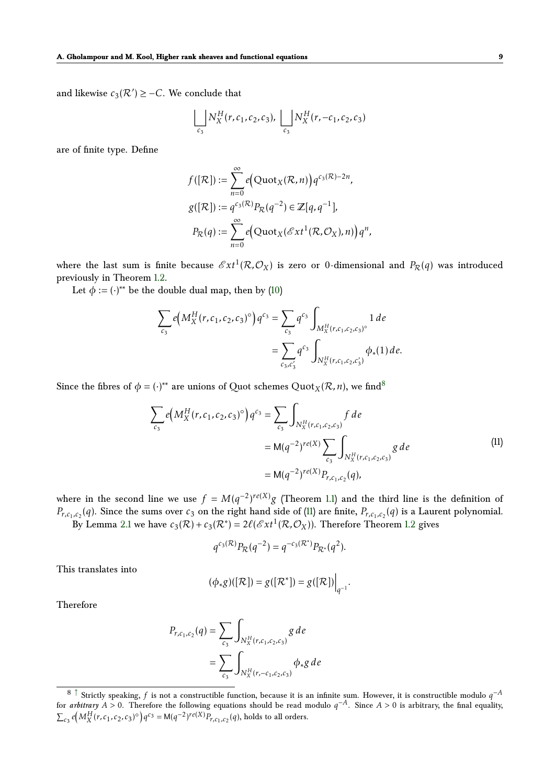and likewise  $c_3(\mathcal{R}') \geq -C$ . We conclude that

$$
\bigsqcup_{c_3} N_X^H(r, c_1, c_2, c_3), \bigsqcup_{c_3} N_X^H(r, -c_1, c_2, c_3)
$$

are of finite type. Define

$$
f([R]) := \sum_{n=0}^{\infty} e\Big(\text{Quot}_X(\mathcal{R}, n)\Big) q^{c_3(\mathcal{R}) - 2n},
$$
  

$$
g([R]) := q^{c_3(\mathcal{R})} P_{\mathcal{R}}(q^{-2}) \in \mathbb{Z}[q, q^{-1}],
$$
  

$$
P_{\mathcal{R}}(q) := \sum_{n=0}^{\infty} e\Big(\text{Quot}_X(\mathcal{E}xt^1(\mathcal{R}, \mathcal{O}_X), n)\Big) q^n,
$$

where the last sum is finite because  $\mathscr{E}xt^1(\mathcal{R},\mathcal{O}_X)$  is zero or 0-dimensional and  $P_\mathcal{R}(q)$  was introduced previously in Theorem [1.2.](#page-1-3)

Let  $\phi := (\cdot)^{**}$  be the double dual map, then by [\(10\)](#page-7-0)

$$
\sum_{c_3} e(M_X^H(r, c_1, c_2, c_3)^\circ) q^{c_3} = \sum_{c_3} q^{c_3} \int_{M_X^H(r, c_1, c_2, c_3)^\circ} 1 \, de
$$
  
= 
$$
\sum_{c_3, c'_3} q^{c_3} \int_{N_X^H(r, c_1, c_2, c'_3)} \phi_*(1) \, de.
$$

Since the fibres of  $\phi = (\cdot)^{**}$  are unions of Quot schemes  $Quot_X(\mathcal{R}, n)$ , we find<sup>[8](#page-8-0)</sup>

<span id="page-8-2"></span>
$$
\sum_{c_3} e(M_X^H(r, c_1, c_2, c_3)^\circ) q^{c_3} = \sum_{c_3} \int_{N_X^H(r, c_1, c_2, c_3)} f \, de
$$
\n
$$
= M(q^{-2})^{re(X)} \sum_{c_3} \int_{N_X^H(r, c_1, c_2, c_3)} g \, de
$$
\n
$$
= M(q^{-2})^{re(X)} P_{r, c_1, c_2}(q),
$$
\n(11)

where in the second line we use  $f = M(q^{-2})^{re(X)}g$  (Theorem [1.1\)](#page-1-1) and the third line is the definition of *P*<sub>*r*,c<sub>1</sub>,c<sub>2</sub></sub>(*q*). Since the sums over *c*<sub>3</sub> on the right hand side of [\(11\)](#page-8-1) are finite, *P*<sub>*r*,c<sub>1</sub>,c<sub>2</sub>(*q*) is a Laurent polynomial.</sub> By Lemma [2.1](#page-5-5) we have  $c_3(\mathcal{R}) + c_3(\mathcal{R}^*) = 2\ell(\mathscr{E}xt^1(\mathcal{R},\mathcal{O}_X))$ . Therefore Theorem [1.2](#page-1-3) gives

<span id="page-8-1"></span>
$$
q^{c_3(\mathcal{R})} P_{\mathcal{R}}(q^{-2}) = q^{-c_3(\mathcal{R}^*)} P_{\mathcal{R}^*}(q^2).
$$

This translates into

$$
(\phi_*g)([\mathcal{R}])=g([\mathcal{R}^*])=g([\mathcal{R}])\Big|_{q^{-1}}.
$$

Therefore

$$
P_{r,c_1,c_2}(q) = \sum_{c_3} \int_{N_X^H(r,c_1,c_2,c_3)} g \, de
$$
  
= 
$$
\sum_{c_3} \int_{N_X^H(r,-c_1,c_2,c_3)} \phi_* g \, de
$$

<span id="page-8-0"></span><sup>8</sup> [↑](#page-8-2) Strictly speaking, *<sup>f</sup>* is not a constructible function, because it is an infinite sum. However, it is constructible modulo *<sup>q</sup>* −*A* for *arbitrary*  $A > 0$ . Therefore the following equations should be read modulo  $q^{-A}$ . Since  $A > 0$  is arbitrary, the final equality,  $\sum_{c_3} e\left(M_X^H(r, c_1, c_2, c_3)^\circ\right) q^{c_3} = M(q^{-2})^{re(X)} P_{r, c_1, c_2}(q)$ , holds to all orders.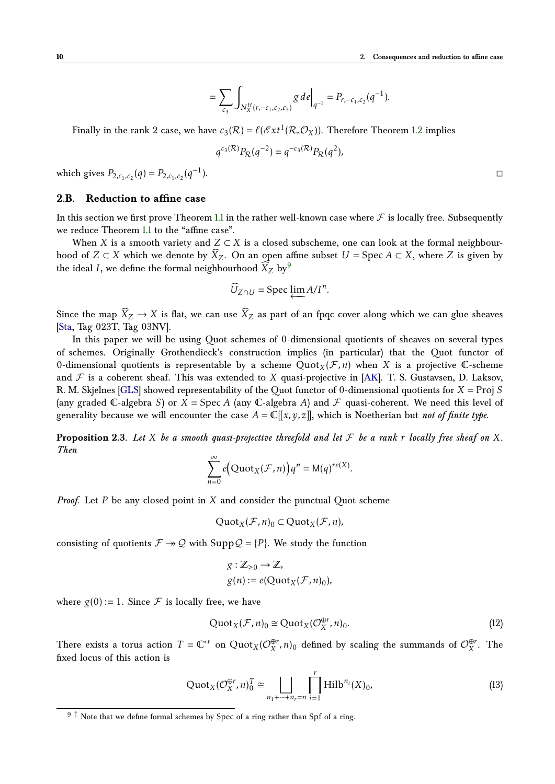$$
= \sum_{c_3} \int_{N_X^H(r,-c_1,c_2,c_3)} g \, d e \Big|_{q^{-1}} = P_{r,-c_1,c_2}(q^{-1}).
$$

Finally in the rank 2 case, we have  $c_3(\mathcal{R}) = \ell(\mathcal{E}xt^1(\mathcal{R},\mathcal{O}_X))$ . Therefore Theorem [1.2](#page-1-3) implies

$$
q^{c_3(\mathcal{R})} P_{\mathcal{R}}(q^{-2}) = q^{-c_3(\mathcal{R})} P_{\mathcal{R}}(q^2),
$$

which gives  $P_{2,c_1,c_2}(q) = P_{2,c_1,c_2}(q^{-1})$ ).  $\Box$ 

## <span id="page-9-5"></span>**2.B. Reduction to affine case**

In this section we first prove Theorem [1.1](#page-1-1) in the rather well-known case where  $\mathcal F$  is locally free. Subsequently we reduce Theorem [1.1](#page-1-1) to the "affine case".

When *X* is a smooth variety and  $Z \subset X$  is a closed subscheme, one can look at the formal neighbourhood of  $Z \subset X$  which we denote by  $X_Z$ . On an open affine subset  $U = \text{Spec } A \subset X$ , where  $Z$  is given by the ideal *I*, we define the formal neighbourhood  $\widetilde{X}_Z$  by  $9$ 

<span id="page-9-1"></span>
$$
\widehat{U}_{Z\cap U} = \operatorname{Spec} \varprojlim A/I^n.
$$

Since the map  $\widehat{X}_Z \to X$  is flat, we can use  $\widehat{X}_Z$  as part of an fpqc cover along which we can glue sheaves [\[Sta,](#page-28-3) Tag 023T, Tag 03NV].

In this paper we will be using Quot schemes of 0-dimensional quotients of sheaves on several types of schemes. Originally Grothendieck's construction implies (in particular) that the Quot functor of 0-dimensional quotients is representable by a scheme  $Quot_X(\mathcal{F}, n)$  when X is a projective C-scheme and  $\mathcal F$  is a coherent sheaf. This was extended to  $X$  quasi-projective in [\[AK\]](#page-26-6). T. S. Gustavsen, D. Laksov, R. M. Skjelnes [\[GLS\]](#page-27-15) showed representability of the Quot functor of 0-dimensional quotients for *X* = Proj *S* (any graded C-algebra *S*) or  $X = \text{Spec } A$  (any C-algebra *A*) and  $\mathcal F$  quasi-coherent. We need this level of generality because we will encounter the case  $A = \mathbb{C}[[x, y, z]]$ , which is Noetherian but *not of finite type*.

<span id="page-9-4"></span>**Proposition 2.3.** Let X be a smooth quasi-projective threefold and let  $\mathcal F$  be a rank  $r$  locally free sheaf on X. *Then*

$$
\sum_{n=0}^{\infty} e\big(\mathrm{Quot}_X(\mathcal{F}, n)\big)q^n = \mathrm{M}(q)^{re(X)}.
$$

*Proof.* Let *P* be any closed point in *X* and consider the punctual Quot scheme

$$
\mathrm{Quot}_X(\mathcal{F}, n)_0 \subset \mathrm{Quot}_X(\mathcal{F}, n),
$$

consisting of quotients  $\mathcal{F} \rightarrow \mathcal{Q}$  with Supp $\mathcal{Q} = \{P\}$ . We study the function

<span id="page-9-2"></span>
$$
g: \mathbb{Z}_{\geq 0} \to \mathbb{Z},
$$
  

$$
g(n) := e(\text{Quot}_X(\mathcal{F}, n)_0),
$$

where  $g(0) := 1$ . Since F is locally free, we have

<span id="page-9-3"></span>
$$
\mathrm{Quot}_X(\mathcal{F}, n)_0 \cong \mathrm{Quot}_X(\mathcal{O}_X^{\oplus r}, n)_0. \tag{12}
$$

There exists a torus action  $T = \mathbb{C}^{*r}$  on  $\text{Quot}_X(\mathcal{O}_X^{\oplus r})$  $\mathcal{L}_X^{ \oplus r}$ , *n*)<sub>0</sub> defined by scaling the summands of  $\mathcal{O}_X^{ \oplus r}$  $\int_{X}^{\oplus r}$ . The fixed locus of this action is

$$
\operatorname{Quot}_X(\mathcal{O}_X^{\oplus r}, n)_0^T \cong \bigsqcup_{n_1 + \dots + n_r = n} \prod_{i=1}^r \operatorname{Hilb}^{n_i}(X)_0, \tag{13}
$$

<span id="page-9-0"></span> $9 \uparrow$  Note that we define formal schemes by Spec of a ring rather than Spf of a ring.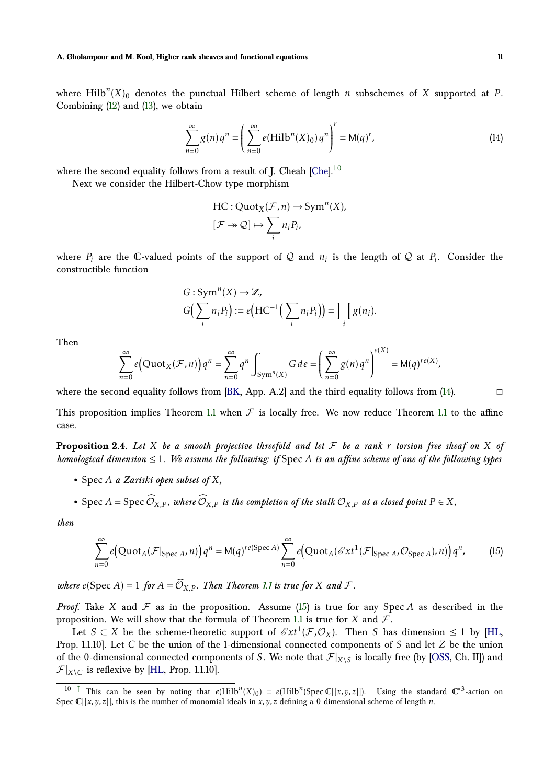where  $\mathrm{Hilb}^n(X)_0$  denotes the punctual Hilbert scheme of length *n* subschemes of *X* supported at *P*. Combining [\(12\)](#page-9-2) and [\(13\)](#page-9-3), we obtain

$$
\sum_{n=0}^{\infty} g(n) q^n = \left( \sum_{n=0}^{\infty} e(Hilb^n(X)_0) q^n \right)^r = M(q)^r,
$$
 (14)

where the second equality follows from a result of J. Cheah [\[Che\]](#page-26-7).<sup>[10](#page-10-0)</sup>

Next we consider the Hilbert-Chow type morphism

<span id="page-10-3"></span><span id="page-10-1"></span>
$$
\text{HC} : \text{Quot}_X(\mathcal{F}, n) \to \text{Sym}^n(X),
$$

$$
[\mathcal{F} \to \mathcal{Q}] \mapsto \sum_i n_i P_i,
$$

where  $P_i$  are the C-valued points of the support of Q and  $n_i$  is the length of Q at  $P_i$ . Consider the constructible function

$$
G: \operatorname{Sym}^{n}(X) \to \mathbb{Z},
$$
  

$$
G\left(\sum_{i} n_{i} P_{i}\right) := e\left(\operatorname{HC}^{-1}\left(\sum_{i} n_{i} P_{i}\right)\right) = \prod_{i} g(n_{i}).
$$

Then

$$
\sum_{n=0}^{\infty} e\Big(\mathrm{Quot}_X(\mathcal{F},n)\Big)q^n=\sum_{n=0}^{\infty} q^n \int_{\mathrm{Sym}^n(X)} G\, de=\Bigg(\sum_{n=0}^{\infty} g(n) q^n\Bigg)^{e(X)}=\mathrm{M}(q)^{re(X)},
$$

where the second equality follows from [\[BK,](#page-26-8) App. A.2] and the third equality follows from [\(14\)](#page-10-1).  $\Box$ 

<span id="page-10-4"></span>This proposition implies Theorem [1.1](#page-1-1) when  $\mathcal F$  is locally free. We now reduce Theorem 1.1 to the affine case.

**Proposition 2.4.** Let *X* be a smooth projective threefold and let  $\mathcal F$  be a rank  $r$  torsion free sheaf on  $X$  of *homological dimension* ≤ 1*. We assume the following: if* Spec *A is an affine scheme of one of the following types*

- *•* Spec *A a Zariski open subset of X,*
- Spec *A* = Spec  $\widehat{\mathcal{O}}_{X,P}$ *, where*  $\widehat{\mathcal{O}}_{X,P}$  *is the completion of the stalk*  $\mathcal{O}_{X,P}$  *at a closed point*  $P \in X$ *,*

*then*

<span id="page-10-2"></span>
$$
\sum_{n=0}^{\infty} e\left(\text{Quot}_{A}(\mathcal{F}|_{\text{Spec }A}, n)\right) q^{n} = \mathsf{M}(q)^{re(\text{Spec }A)} \sum_{n=0}^{\infty} e\left(\text{Quot}_{A}(\mathcal{E}xt^{1}(\mathcal{F}|_{\text{Spec }A}, \mathcal{O}_{\text{Spec }A}), n)\right) q^{n},\tag{15}
$$

*where*  $e$ (Spec *A*) = 1 *for*  $A = \widehat{\mathcal{O}}_{X,P}$ *. Then Theorem [1.1](#page-1-1) is true for X and F.* 

*Proof.* Take *X* and  $F$  as in the proposition. Assume [\(15\)](#page-10-2) is true for any Spec *A* as described in the proposition. We will show that the formula of Theorem [1.1](#page-1-1) is true for *X* and  $\mathcal{F}$ .

Let  $S \subset X$  be the scheme-theoretic support of  $\mathscr{E}xt^1(\mathcal{F},\mathcal{O}_X)$ . Then *S* has dimension  $\leq 1$  by [\[HL,](#page-27-0) Prop. 1.1.10]. Let *C* be the union of the 1-dimensional connected components of *S* and let *Z* be the union of the 0-dimensional connected components of *S*. We note that  $\mathcal{F}|_{X\setminus S}$  is locally free (by [\[OSS,](#page-27-1) Ch. II]) and  $\mathcal{F}|_{X \setminus C}$  is reflexive by [\[HL,](#page-27-0) Prop. 1.1.10].

<span id="page-10-0"></span><sup>&</sup>lt;sup>10</sup> [↑](#page-10-3) This can be seen by noting that  $e(Hilb^n(X)_0) = e(Hilb^n(Spec \mathbb{C}[[x,y,z]])$ . Using the standard  $\mathbb{C}^{*3}$ -action on Spec  $\mathbb{C}[[x,y,z]]$ , this is the number of monomial ideals in *x*, *y*, *z* defining a 0-dimensional scheme of length *n*.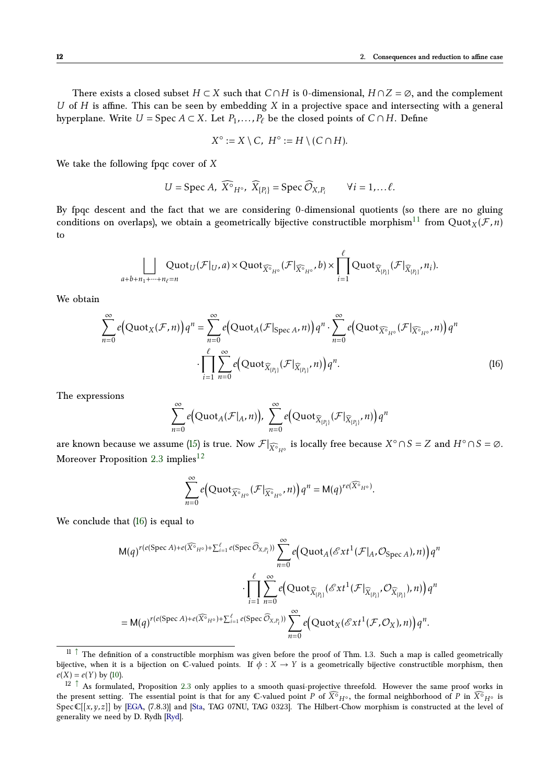There exists a closed subset  $H \subset X$  such that  $C \cap H$  is 0-dimensional,  $H \cap Z = \emptyset$ , and the complement *U* of *H* is affine. This can be seen by embedding *X* in a projective space and intersecting with a general hyperplane. Write  $U = \text{Spec } A \subset X$ . Let  $P_1, \ldots, P_\ell$  be the closed points of  $C \cap H$ . Define

<span id="page-11-3"></span>
$$
X^{\circ} := X \setminus C, H^{\circ} := H \setminus (C \cap H).
$$

We take the following fpqc cover of *X*

$$
U = \operatorname{Spec} A, \widehat{X}^{\circ}_{H^{\circ}}, \widehat{X}_{\{P_i\}} = \operatorname{Spec} \widehat{O}_{X,P_i} \qquad \forall i = 1, \dots \ell.
$$

By fpqc descent and the fact that we are considering 0-dimensional quotients (so there are no gluing conditions on overlaps), we obtain a geometrically bijective constructible morphism<sup>[11](#page-11-0)</sup> from Quot<sub>*X*</sub>( $\mathcal{F}$ ,*n*) to

$$
\bigsqcup_{a+b+n_1+\cdots+n_\ell=n} Quot_U(\mathcal{F}|_U,a)\times Quot_{\widehat{X^\circ}_{H^\circ}}(\mathcal{F}|_{\widehat{X^\circ}_{H^\circ}},b)\times \prod_{i=1}^\ell Quot_{\widehat{X}_{[P_i]}}(\mathcal{F}|_{\widehat{X}_{[P_i]}},n_i).
$$

We obtain

$$
\sum_{n=0}^{\infty} e\left(\text{Quot}_{X}(\mathcal{F}, n)\right) q^{n} = \sum_{n=0}^{\infty} e\left(\text{Quot}_{A}(\mathcal{F}|_{\text{Spec }A}, n)\right) q^{n} \cdot \sum_{n=0}^{\infty} e\left(\text{Quot}_{\widehat{X}^{\circ}_{H^{\circ}}}(\mathcal{F}|_{\widehat{X}^{\circ}_{H^{\circ}}}, n)\right) q^{n}
$$

$$
\cdot \prod_{i=1}^{\ell} \sum_{n=0}^{\infty} e\left(\text{Quot}_{\widehat{X}_{[P_{i}]}}(\mathcal{F}|_{\widehat{X}_{[P_{i}]}}, n)\right) q^{n}.
$$
(16)

The expressions

<span id="page-11-2"></span>
$$
\sum_{n=0}^{\infty} e\big(\text{Quot}_A(\mathcal{F}|_A,n)\big),\ \sum_{n=0}^{\infty} e\big(\text{Quot}_{\widehat{X}_{[P_i]}}(\mathcal{F}|_{\widehat{X}_{[P_i]}},n)\big)q^n
$$

are known because we assume [\(15\)](#page-10-2) is true. Now  $\mathcal{F}|_{\widehat{X}^{\circ}H^{\circ}}$  is locally free because  $X^{\circ} \cap S = Z$  and  $H^{\circ} \cap S = \emptyset$ . Moreover Proposition [2.3](#page-9-4) implies<sup>[12](#page-11-1)</sup>

<span id="page-11-4"></span>
$$
\sum_{n=0}^{\infty}e\Big(\mathrm{Quot}_{\widehat{X^\circ}_{H^\circ}}(\mathcal{F}|_{\widehat{X^\circ}_{H^\circ}},n)\Big)q^n=\mathrm{M}(q)^{re(\widehat{X^\circ}_{H^\circ})}.
$$

We conclude that [\(16\)](#page-11-2) is equal to

$$
M(q)^{r(e(\text{Spec } A) + e(\widehat{X^{\circ}}_{H^{\circ}}) + \sum_{i=1}^{\ell} e(\text{Spec } \widehat{\mathcal{O}}_{X,P_i}))} \sum_{n=0}^{\infty} e\Big( \text{Quot}_{A}(\mathcal{E}xt^{1}(\mathcal{F}|_{A}, \mathcal{O}_{\text{Spec } A}), n) \Big) q^{n}
$$

$$
\cdot \prod_{i=1}^{\ell} \sum_{n=0}^{\infty} e\Big( \text{Quot}_{\widehat{X}_{[P_i]}}(\mathcal{E}xt^{1}(\mathcal{F}|_{\widehat{X}_{[P_i]}}, \mathcal{O}_{\widehat{X}_{[P_i]}}), n) \Big) q^{n}
$$

$$
= M(q)^{r(e(\text{Spec } A) + e(\widehat{X^{\circ}}_{H^{\circ}}) + \sum_{i=1}^{\ell} e(\text{Spec } \widehat{\mathcal{O}}_{X,P_i}))} \sum_{n=0}^{\infty} e\Big( \text{Quot}_{X}(\mathcal{E}xt^{1}(\mathcal{F}, \mathcal{O}_{X}), n) \Big) q^{n}.
$$

<span id="page-11-0"></span> $11$   $\uparrow$  The definition of a constructible morphism was given before the proof of Thm. 1.3. Such a map is called geometrically bijective, when it is a bijection on  $\mathbb C$ -valued points. If  $\phi: X \to Y$  is a geometrically bijective constructible morphism, then  $e(X) = e(Y)$  by [\(10\)](#page-7-0).

<span id="page-11-1"></span> $12 \uparrow$  As formulated, Proposition [2.3](#page-9-4) only applies to a smooth quasi-projective threefold. However the same proof works in the present setting. The essential point is that for any C-valued point *P* of  $\widehat{X}^{\circ}H^{\circ}$ , the formal neighborhood of *P* in  $\widehat{X}^{\circ}H^{\circ}$ SpecC[[x, y, z]] by [\[EGA,](#page-26-9) (7.8.3)] and [\[Sta,](#page-28-3) TAG 07NU, TAG 0323]. The Hilbert-Chow morphism is constructed at the level of generality we need by D. Rydh [\[Ryd\]](#page-27-16).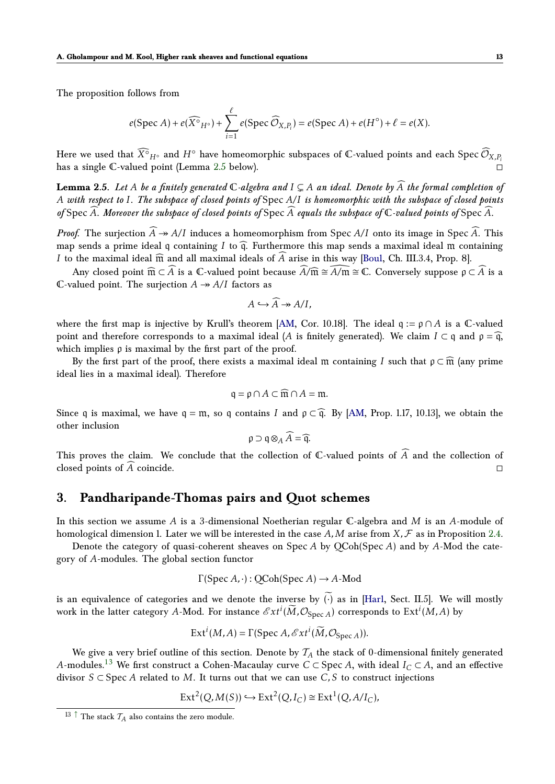The proposition follows from

$$
e(\operatorname{Spec} A) + e(\widehat{X^{\circ}}_{H^{\circ}}) + \sum_{i=1}^{\ell} e(\operatorname{Spec} \widehat{\mathcal{O}}_{X,P_i}) = e(\operatorname{Spec} A) + e(H^{\circ}) + \ell = e(X).
$$

Here we used that  $\widehat{X^{\circ}}_{H^{\circ}}$  and  $H^{\circ}$  have homeomorphic subspaces of  $\mathbb C$ -valued points and each Spec  $\widehat{\mathcal O}_{X,P_i}$ has a single C-valued point (Lemma [2.5](#page-12-1) below).

<span id="page-12-1"></span>**Lemma 2.5.** Let A be a finitely generated  $\mathbb{C}$ -algebra and  $I \subseteq A$  an ideal. Denote by  $\widehat{A}$  the formal completion of *A with respect to I. The subspace of closed points of* Spec *A/I is homeomorphic with the subspace of closed points* of Spec  $\widehat{A}$ *. Moreover the subspace of closed points of* Spec  $\widehat{A}$  *equals the subspace of*  $\mathbb C$ *-valued points of* Spec  $\widehat{A}$ *.* 

*Proof.* The surjection  $\widehat{A} \rightarrow A/I$  induces a homeomorphism from Spec  $A/I$  onto its image in Spec  $\widehat{A}$ . This map sends a prime ideal q containing *I* to  $\widehat{q}$ . Furthermore this map sends a maximal ideal m containing *I* to the maximal ideal  $\widehat{m}$  and all maximal ideals of *A* arise in this way [\[Bou1,](#page-26-10) Ch. III.3.4, Prop. 8].

Any closed point  $\widehat{\mathfrak{m}} \subset \widehat{A}$  is a  $\mathbb{C}\text{-valued point because }\widehat{A}/\widehat{\mathfrak{m}} \cong \widehat{A}/\widehat{\mathfrak{m}} \cong \mathbb{C}$ . Conversely suppose  $\rho \subset \widehat{A}$  is a C-valued point. The surjection  $A \rightarrow A/I$  factors as

$$
A \hookrightarrow \widehat{A} \twoheadrightarrow A/I,
$$

where the first map is injective by Krull's theorem [\[AM,](#page-26-11) Cor. 10.18]. The ideal  $q := p \cap A$  is a  $\mathbb{C}$ -valued point and therefore corresponds to a maximal ideal (*A* is finitely generated). We claim  $I \subset \mathfrak{q}$  and  $\rho = \widehat{\mathfrak{q}}$ , which implies  $\rho$  is maximal by the first part of the proof.

By the first part of the proof, there exists a maximal ideal m containing *I* such that  $p \subset \widehat{m}$  (any prime ideal lies in a maximal ideal). Therefore

$$
\mathfrak{q} = \mathfrak{p} \cap A \subset \widehat{\mathfrak{m}} \cap A = \mathfrak{m}.
$$

Since q is maximal, we have  $q = m$ , so q contains *I* and  $p \subset \hat{q}$ . By [\[AM,](#page-26-11) Prop. 1.17, 10.13], we obtain the other inclusion

$$
\mathfrak{p} \supset \mathfrak{q} \otimes_A \widehat{A} = \widehat{\mathfrak{q}}.
$$

This proves the claim. We conclude that the collection of  $\mathbb C$ -valued points of  $\widehat A$  and the collection of closed points of  $\widehat A$  coincide. closed points of *<sup>A</sup>*<sup>b</sup> coincide.

# <span id="page-12-0"></span>**3. Pandharipande-Thomas pairs and Quot schemes**

In this section we assume *A* is a 3-dimensional Noetherian regular C-algebra and *M* is an *A*-module of homological dimension 1. Later we will be interested in the case  $A$ ,  $M$  arise from  $X$ ,  $F$  as in Proposition [2.4.](#page-10-4)

Denote the category of quasi-coherent sheaves on Spec *A* by QCoh(Spec *A*) and by *A*-Mod the category of *A*-modules. The global section functor

$$
\Gamma(\text{Spec } A, \cdot): \text{QCoh}(\text{Spec } A) \to A\text{-Mod}
$$

is an equivalence of categories and we denote the inverse by  $\widetilde{(\cdot)}$  as in [\[Har1,](#page-27-17) Sect. II.5]. We will mostly work in the latter category *A*-Mod. For instance  $\mathscr{E}xt^i(\widetilde{M},\mathcal{O}_{\text{Spec}\,A})$  corresponds to  $\mathrm{Ext}^i(M,A)$  by

$$
Ext^{i}(M, A) = \Gamma(\text{Spec } A, \mathcal{E}xt^{i}(\widetilde{M}, \mathcal{O}_{\text{Spec } A})).
$$

<span id="page-12-3"></span>We give a very brief outline of this section. Denote by  $\mathcal{T}_A$  the stack of 0-dimensional finitely generated *A*-modules.<sup>[13](#page-12-2)</sup> We first construct a Cohen-Macaulay curve *C* ⊂ Spec *A*, with ideal *I*<sub>*C*</sub> ⊂ *A*, and an effective divisor *S* ⊂ Spec *A* related to *M*. It turns out that we can use *C, S* to construct injections

$$
\operatorname{Ext}^2(Q, M(S)) \hookrightarrow \operatorname{Ext}^2(Q, I_C) \cong \operatorname{Ext}^1(Q, A/I_C),
$$

<span id="page-12-2"></span> $^{13}$ <br> $\uparrow$  The stack  $\mathcal{T}_A$  also contains the zero module.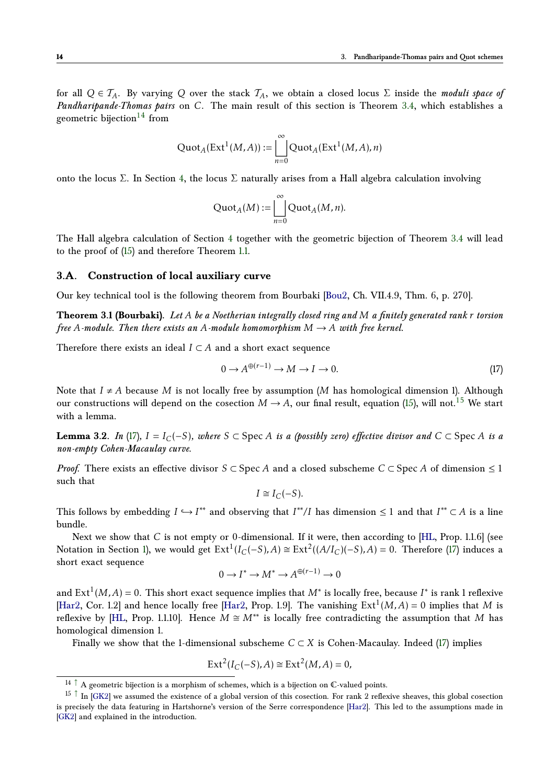for all  $Q \in \mathcal{T}_A$ . By varying *Q* over the stack  $\mathcal{T}_A$ , we obtain a closed locus  $\Sigma$  inside the *moduli space of Pandharipande-Thomas pairs* on *C*. The main result of this section is Theorem [3.4,](#page-15-0) which establishes a geometric bijection<sup>[14](#page-13-1)</sup> from

<span id="page-13-4"></span>
$$
\mathrm{Quot}_A(\mathrm{Ext}^1(M, A)) := \bigsqcup_{n=0}^{\infty} \mathrm{Quot}_A(\mathrm{Ext}^1(M, A), n)
$$

onto the locus Σ. In Section [4,](#page-22-0) the locus Σ naturally arises from a Hall algebra calculation involving

$$
\mathrm{Quot}_A(M) := \bigsqcup_{n=0}^{\infty} \mathrm{Quot}_A(M, n).
$$

The Hall algebra calculation of Section [4](#page-22-0) together with the geometric bijection of Theorem [3.4](#page-15-0) will lead to the proof of [\(15\)](#page-10-2) and therefore Theorem [1.1.](#page-1-1)

#### **3.A. Construction of local auxiliary curve**

Our key technical tool is the following theorem from Bourbaki [\[Bou2,](#page-26-12) Ch. VII.4.9, Thm. 6, p. 270].

**Theorem 3.1 (Bourbaki).** *Let A be a Noetherian integrally closed ring and M a finitely generated rank r torsion free A-module. Then there exists an A-module homomorphism*  $M \rightarrow A$  *with free kernel.* 

Therefore there exists an ideal  $I \subset A$  and a short exact sequence

<span id="page-13-3"></span><span id="page-13-0"></span>
$$
0 \to A^{\oplus (r-1)} \to M \to I \to 0. \tag{17}
$$

<span id="page-13-6"></span>Note that  $I \neq A$  because *M* is not locally free by assumption (*M* has homological dimension 1). Although our constructions will depend on the cosection  $M \to A$ , our final result, equation [\(15\)](#page-10-2), will not.<sup>[15](#page-13-2)</sup> We start with a lemma.

**Lemma** 3.2. *In* [\(17\)](#page-13-3)*, I* = *I<sub>C</sub>*(−*S*)*,* where *S* ⊂ Spec *A is a (possibly zero) effective divisor and*  $C \subset$  Spec *A is a non-empty Cohen-Macaulay curve.*

*Proof.* There exists an effective divisor  $S \subset \text{Spec } A$  and a closed subscheme  $C \subset \text{Spec } A$  of dimension  $\leq 1$ such that

<span id="page-13-5"></span>
$$
I \cong I_C(-S).
$$

This follows by embedding  $I \hookrightarrow I^{**}$  and observing that  $I^{**}/I$  has dimension  $\leq 1$  and that  $I^{**} \subset A$  is a line bundle.

Next we show that *C* is not empty or 0-dimensional. If it were, then according to [\[HL,](#page-27-0) Prop. 1.1.6] (see Notation in Section [1\)](#page-1-0), we would get  $Ext^1(I_C(-S), A) \cong Ext^2((A/I_C)(-S), A) = 0$ . Therefore [\(17\)](#page-13-3) induces a short exact sequence

$$
0 \to I^* \to M^* \to A^{\oplus (r-1)} \to 0
$$

and Ext<sup>1</sup>(M,A) = 0. This short exact sequence implies that  $M^*$  is locally free, because  $I^*$  is rank 1 reflexive [\[Har2,](#page-27-10) Cor. 1.2] and hence locally free [Har2, Prop. 1.9]. The vanishing  $Ext^1(M, A) = 0$  implies that M is reflexive by [\[HL,](#page-27-0) Prop. 1.1.10]. Hence  $M \cong M^{**}$  is locally free contradicting the assumption that M has homological dimension 1.

Finally we show that the 1-dimensional subscheme  $C \subset X$  is Cohen-Macaulay. Indeed [\(17\)](#page-13-3) implies

$$
Ext2(IC(-S), A) \cong Ext2(M, A) = 0,
$$

<span id="page-13-2"></span><span id="page-13-1"></span> $14 \uparrow$  A geometric bijection is a morphism of schemes, which is a bijection on C-valued points.

<sup>&</sup>lt;sup>15</sup> [↑](#page-13-5) In [\[GK2\]](#page-26-3) we assumed the existence of a global version of this cosection. For rank 2 reflexive sheaves, this global cosection is precisely the data featuring in Hartshorne's version of the Serre correspondence [\[Har2\]](#page-27-10). This led to the assumptions made in [\[GK2\]](#page-26-3) and explained in the introduction.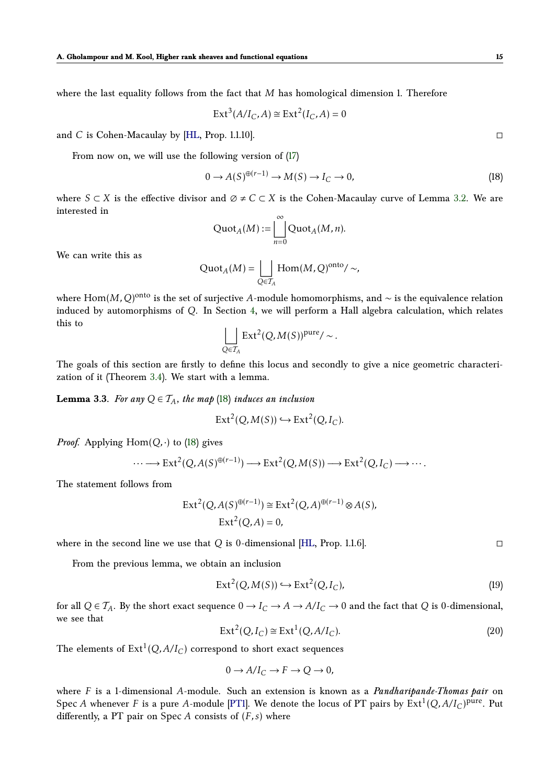where the last equality follows from the fact that *M* has homological dimension 1. Therefore

$$
\operatorname{Ext}^3(A/I_C, A) \cong \operatorname{Ext}^2(I_C, A) = 0
$$

and *C* is Cohen-Macaulay by [\[HL,](#page-27-0) Prop. 1.1.10].

From now on, we will use the following version of [\(17\)](#page-13-3)

<span id="page-14-0"></span>
$$
0 \to A(S)^{\oplus (r-1)} \to M(S) \to I_C \to 0,
$$
\n(18)

where  $S \subset X$  is the effective divisor and  $\emptyset \neq C \subset X$  is the Cohen-Macaulay curve of Lemma [3.2.](#page-13-6) We are interested in

$$
\mathrm{Quot}_A(M) := \bigsqcup_{n=0}^{\infty} \mathrm{Quot}_A(M, n).
$$

We can write this as

$$
\mathrm{Quot}_A(M) = \bigsqcup_{Q \in \mathcal{T}_A} \mathrm{Hom}(M, Q)^{\mathrm{onto}} / \sim,
$$

where  $\operatorname{Hom}(M,Q)^{\text{onto}}$  is the set of surjective *A-*module homomorphisms, and ∼ is the equivalence relation induced by automorphisms of *Q*. In Section [4,](#page-22-0) we will perform a Hall algebra calculation, which relates this to

$$
\bigsqcup_{Q \in \mathcal{T}_A} \operatorname{Ext}^2(Q, M(S))^{\text{pure}} / \sim.
$$

The goals of this section are firstly to define this locus and secondly to give a nice geometric characterization of it (Theorem [3.4\)](#page-15-0). We start with a lemma.

<span id="page-14-3"></span>**Lemma 3.3.** *For any*  $Q \in T_A$ *, the map* [\(18\)](#page-14-0) *induces an inclusion* 

$$
Ext2(Q, M(S)) \hookrightarrow Ext2(Q, IC).
$$

*Proof.* Applying  $Hom(Q, \cdot)$  to [\(18\)](#page-14-0) gives

$$
\cdots \longrightarrow \text{Ext}^{2}(Q, A(S)^{\oplus (r-1)}) \longrightarrow \text{Ext}^{2}(Q, M(S)) \longrightarrow \text{Ext}^{2}(Q, I_{C}) \longrightarrow \cdots.
$$

The statement follows from

$$
\operatorname{Ext}^2(Q, A(S)^{\oplus (r-1)}) \cong \operatorname{Ext}^2(Q, A)^{\oplus (r-1)} \otimes A(S),
$$
  

$$
\operatorname{Ext}^2(Q, A) = 0,
$$

where in the second line we use that  $Q$  is 0-dimensional [\[HL,](#page-27-0) Prop. 1.1.6].

From the previous lemma, we obtain an inclusion

<span id="page-14-1"></span>
$$
Ext2(Q, M(S)) \hookrightarrow Ext2(Q, IC),
$$
\n(19)

for all  $Q \in \mathcal{T}_A$ . By the short exact sequence  $0 \to I_C \to A \to A/I_C \to 0$  and the fact that *Q* is 0-dimensional, we see that

<span id="page-14-2"></span>
$$
Ext2(Q, IC) \cong Ext1(Q, A/IC).
$$
\n(20)

The elements of  $\mathrm{Ext}^1(Q,A/I_C)$  correspond to short exact sequences

$$
0 \to A/I_C \to F \to Q \to 0,
$$

where *F* is a 1-dimensional *A*-module. Such an extension is known as a *Pandharipande-Thomas pair* on Spec *A* whenever *F* is a pure *A*-module [\[PT1\]](#page-27-3). We denote the locus of PT pairs by  $Ext^1(Q, A/I_C)^{pure}$ . Put differently, a PT pair on Spec *A* consists of (*F, s*) where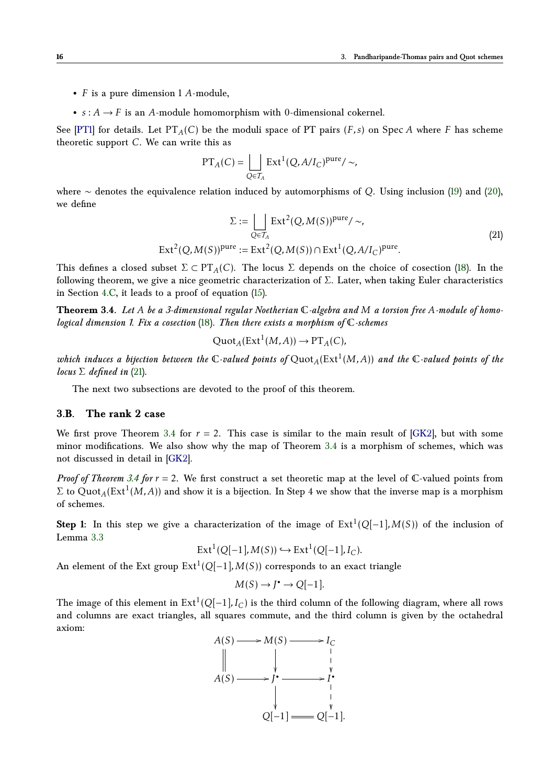- *F* is a pure dimension 1 *A*-module,
- $s: A \rightarrow F$  is an *A*-module homomorphism with 0-dimensional cokernel.

See [\[PT1\]](#page-27-3) for details. Let  $PT_A(C)$  be the moduli space of PT pairs  $(F, s)$  on Spec *A* where *F* has scheme theoretic support *C*. We can write this as

<span id="page-15-1"></span>
$$
PT_A(C) = \bigsqcup_{Q \in \mathcal{T}_A} Ext^1(Q, A/I_C)^{pure} / \sim,
$$

where ∼ denotes the equivalence relation induced by automorphisms of *Q*. Using inclusion [\(19\)](#page-14-1) and [\(20\)](#page-14-2), we define

$$
\Sigma := \bigsqcup_{Q \in \mathcal{T}_A} \operatorname{Ext}^2(Q, M(S))^{\text{pure}} / \sim,
$$
\n
$$
\operatorname{Ext}^2(Q, M(S))^{\text{pure}} := \operatorname{Ext}^2(Q, M(S)) \cap \operatorname{Ext}^1(Q, A/I_C)^{\text{pure}}.
$$
\n(21)

This defines a closed subset  $\Sigma \subset PT<sub>A</sub>(C)$ . The locus  $\Sigma$  depends on the choice of cosection [\(18\)](#page-14-0). In the following theorem, we give a nice geometric characterization of Σ. Later, when taking Euler characteristics in Section [4.C,](#page-24-0) it leads to a proof of equation [\(15\)](#page-10-2).

**Theorem 3.4.** *Let A be a 3-dimensional regular Noetherian* C*-algebra and M a torsion free A-module of homological dimension 1. Fix a cosection* [\(18\)](#page-14-0)*. Then there exists a morphism of* C*-schemes*

<span id="page-15-0"></span>
$$
\mathrm{Quot}_A(\mathrm{Ext}^1(M, A)) \to \mathrm{PT}_A(C),
$$

which induces a bijection between the  $\mathbb C$ -valued points of  $\mathrm{Quot}_A(\mathrm{Ext}^1(M,A))$  and the  $\mathbb C$ -valued points of the *locus*  $\Sigma$  *defined in* [\(21\)](#page-15-1).

The next two subsections are devoted to the proof of this theorem.

## <span id="page-15-2"></span>**3.B. The rank 2 case**

We first prove Theorem [3.4](#page-15-0) for  $r = 2$ . This case is similar to the main result of [\[GK2\]](#page-26-3), but with some minor modifications. We also show why the map of Theorem [3.4](#page-15-0) is a morphism of schemes, which was not discussed in detail in [\[GK2\]](#page-26-3).

*Proof of Theorem [3.4](#page-15-0) for*  $r = 2$ . We first construct a set theoretic map at the level of  $\mathbb{C}$ -valued points from  $\Sigma$  to  $\mathrm{Quot}_A(\mathrm{Ext}^1(M,A))$  and show it is a bijection. In Step 4 we show that the inverse map is a morphism of schemes.

**Step 1:** In this step we give a characterization of the image of  $Ext<sup>1</sup>(Q[-1], M(S))$  of the inclusion of Lemma [3.3](#page-14-3)

$$
Ext1(Q[-1], M(S)) \hookrightarrow Ext1(Q[-1], IC).
$$

An element of the Ext group  $Ext^1(Q[-1], M(S))$  corresponds to an exact triangle

$$
M(S) \to J^{\bullet} \to Q[-1].
$$

The image of this element in Ext $^1(Q[-1],I_C)$  is the third column of the following diagram, where all rows and columns are exact triangles, all squares commute, and the third column is given by the octahedral axiom:

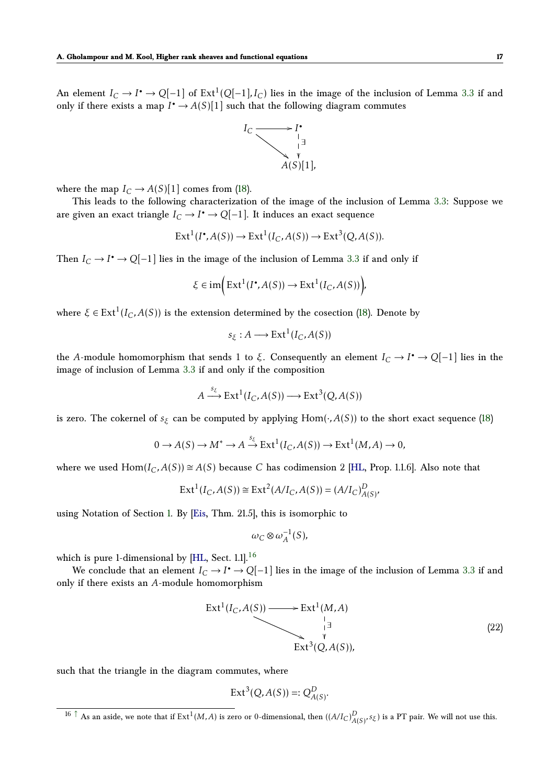An element  $I_C \to I^{\bullet} \to Q[-1]$  of  $\mathrm{Ext}^1(Q[-1],I_C)$  lies in the image of the inclusion of Lemma [3.3](#page-14-3) if and only if there exists a map  $I^{\bullet} \to A(S)[1]$  such that the following diagram commutes



where the map  $I_C \rightarrow A(S)[1]$  comes from [\(18\)](#page-14-0).

This leads to the following characterization of the image of the inclusion of Lemma [3.3:](#page-14-3) Suppose we are given an exact triangle  $I_C \to I^{\bullet} \to Q[-1]$ . It induces an exact sequence

$$
Ext1(I•, A(S)) \to Ext1(IC, A(S)) \to Ext3(Q, A(S)).
$$

Then  $I_C \to I^{\bullet} \to Q[-1]$  lies in the image of the inclusion of Lemma [3.3](#page-14-3) if and only if

$$
\xi \in \text{im}\Big(\text{Ext}^1(I^\bullet, A(S)) \to \text{Ext}^1(I_C, A(S))\Big),\,
$$

where  $\xi \in \text{Ext}^1(I_C, A(S))$  is the extension determined by the cosection [\(18\)](#page-14-0). Denote by

$$
s_{\xi}: A \longrightarrow \text{Ext}^1(I_C, A(S))
$$

the *A*-module homomorphism that sends 1 to *ξ*. Consequently an element  $I_C \to I^{\bullet} \to Q[-1]$  lies in the image of inclusion of Lemma [3.3](#page-14-3) if and only if the composition

$$
A \xrightarrow{s_{\xi}} \operatorname{Ext}^{1}(I_{C}, A(S)) \longrightarrow \operatorname{Ext}^{3}(Q, A(S))
$$

is zero. The cokernel of  $s_{\xi}$  can be computed by applying Hom( $\cdot$ ,  $A(S)$ ) to the short exact sequence [\(18\)](#page-14-0)

$$
0 \to A(S) \to M^* \to A \stackrel{s_{\xi}}{\to} \operatorname{Ext}^1(I_C, A(S)) \to \operatorname{Ext}^1(M, A) \to 0,
$$

where we used  $Hom(I_C, A(S)) \cong A(S)$  because *C* has codimension 2 [\[HL,](#page-27-0) Prop. 1.1.6]. Also note that

$$
Ext^{1}(I_{C}, A(S)) \cong Ext^{2}(A/I_{C}, A(S)) = (A/I_{C})_{A(S)}^{D},
$$

using Notation of Section [1.](#page-1-0) By [\[Eis,](#page-26-13) Thm. 21.5], this is isomorphic to

<span id="page-16-1"></span>
$$
\omega_C \otimes \omega_A^{-1}(S),
$$

which is pure 1-dimensional by [\[HL,](#page-27-0) Sect. 1.1].<sup>[16](#page-16-0)</sup>

We conclude that an element  $I_C \to I^{\bullet} \to Q[-1]$  lies in the image of the inclusion of Lemma [3.3](#page-14-3) if and only if there exists an *A*-module homomorphism

<span id="page-16-2"></span>
$$
\begin{array}{ccc}\n\text{Ext}^1(I_C, A(S)) & \longrightarrow & \text{Ext}^1(M, A) \\
\downarrow & & \downarrow \\
& & & \downarrow \\
& & & \downarrow \\
& & & \downarrow \\
& & & \downarrow \\
& & & \downarrow\n\end{array}\n\tag{22}
$$

such that the triangle in the diagram commutes, where

$$
Ext^3(Q, A(S)) =: Q^D_{A(S)}.
$$

<span id="page-16-0"></span> $^{16}$   $\uparrow$  As an aside, we note that if  $Ext^1(M, A)$  is zero or 0-dimensional, then  $((A/I_C)_{A(S)}^D, s_\xi)$  is a PT pair. We will not use this.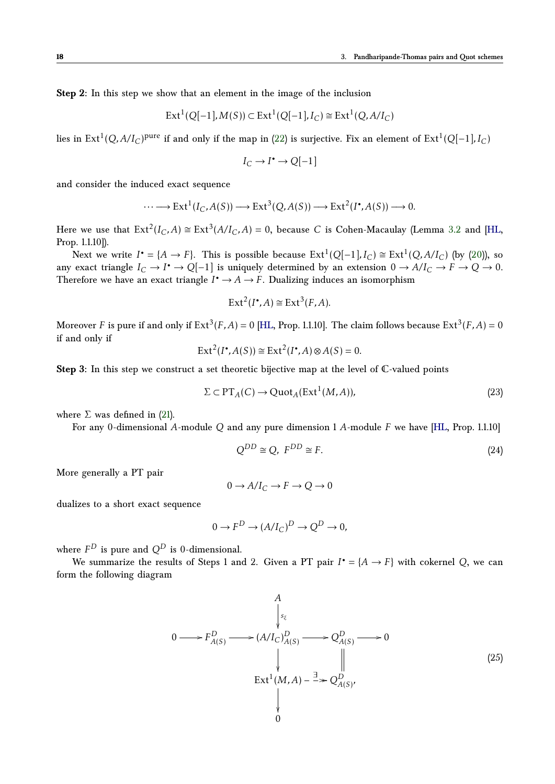**Step 2:** In this step we show that an element in the image of the inclusion

$$
Ext1(Q[-1], M(S)) \subset Ext1(Q[-1], IC) \cong Ext1(Q, A/IC)
$$

lies in Ext<sup>1</sup>(Q,A/I<sub>C</sub>)<sup>pure</sup> if and only if the map in [\(22\)](#page-16-2) is surjective. Fix an element of Ext<sup>1</sup>(Q[−1],I<sub>C</sub>)

$$
I_C \to I^{\bullet} \to Q[-1]
$$

and consider the induced exact sequence

$$
\cdots \longrightarrow \text{Ext}^{1}(I_{C}, A(S)) \longrightarrow \text{Ext}^{3}(Q, A(S)) \longrightarrow \text{Ext}^{2}(I^{\bullet}, A(S)) \longrightarrow 0.
$$

Here we use that  $\text{Ext}^2(I_C, A) \cong \text{Ext}^3(A/I_C, A) = 0$ , because *C* is Cohen-Macaulay (Lemma [3.2](#page-13-6) and [\[HL,](#page-27-0) Prop. 1.1.10]).

Next we write  $I^{\bullet} = \{A \to F\}$ . This is possible because  $Ext^1(Q[-1], I_C) \cong Ext^1(Q, A/I_C)$  (by [\(20\)](#page-14-2)), so any exact triangle  $I_C \to I^{\bullet} \to Q[-1]$  is uniquely determined by an extension  $0 \to A/I_C \to F \to Q \to 0$ . Therefore we have an exact triangle  $I^{\bullet} \to A \to F$ . Dualizing induces an isomorphism

$$
Ext2(I^{\bullet}, A) \cong Ext3(F, A).
$$

Moreover *F* is pure if and only if  $\mathrm{Ext}^3(F,A)=0$  [\[HL,](#page-27-0) Prop. 1.1.10]. The claim follows because  $\mathrm{Ext}^3(F,A)=0$ if and only if

$$
\operatorname{Ext}^2(I^{\bullet}, A(S)) \cong \operatorname{Ext}^2(I^{\bullet}, A) \otimes A(S) = 0.
$$

**Step 3:** In this step we construct a set theoretic bijective map at the level of C-valued points

<span id="page-17-0"></span>
$$
\Sigma \subset \mathrm{PT}_A(C) \to \mathrm{Quot}_A(\mathrm{Ext}^1(M, A)),\tag{23}
$$

where  $\Sigma$  was defined in [\(21\)](#page-15-1).

For any 0-dimensional *A*-module *Q* and any pure dimension 1 *A*-module *F* we have [\[HL,](#page-27-0) Prop. 1.1.10]

<span id="page-17-2"></span>
$$
Q^{DD} \cong Q, \ F^{DD} \cong F. \tag{24}
$$

More generally a PT pair

$$
0 \to A/I_C \to F \to Q \to 0
$$

dualizes to a short exact sequence

$$
0 \to F^D \to (A/I_C)^D \to Q^D \to 0,
$$

where  $F^D$  is pure and  $Q^D$  is 0-dimensional.

We summarize the results of Steps 1 and 2. Given a PT pair  $I^{\bullet} = \{A \rightarrow F\}$  with cokernel *Q*, we can form the following diagram

<span id="page-17-1"></span>
$$
0 \longrightarrow F_{A(S)}^{D} \longrightarrow (A/I_{C})_{A(S)}^{D} \longrightarrow Q_{A(S)}^{D} \longrightarrow 0
$$
\n
$$
\downarrow \qquad \qquad \parallel
$$
\n
$$
\text{Ext}^{1}(M, A) - \xrightarrow{\exists} \gg Q_{A(S)}^{D},
$$
\n
$$
\downarrow \qquad \qquad \downarrow
$$
\n
$$
\downarrow \qquad \qquad \downarrow
$$
\n
$$
\tag{25}
$$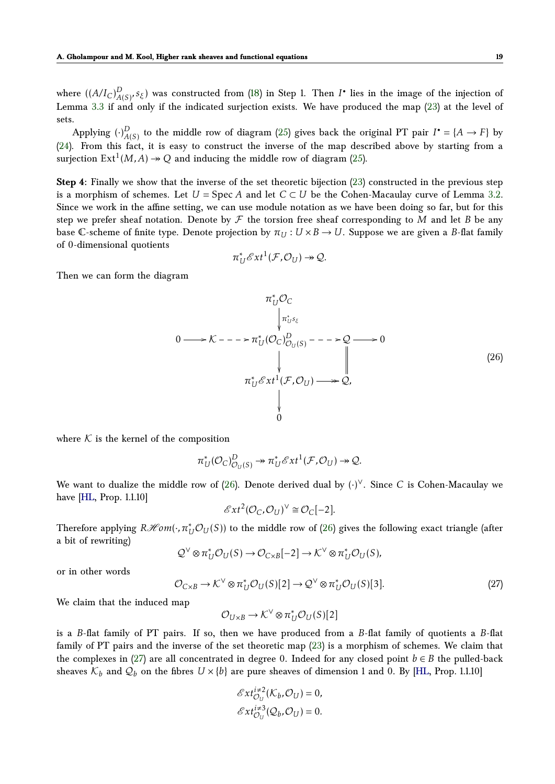where  $((A/I_C)_{A}^D)$ *D*<sub>*A*(*S*)</sub>*, s*<sub>*ξ*</sub>) was constructed from [\(18\)](#page-14-0) in Step 1. Then *I*<sup>•</sup> lies in the image of the injection of Lemma [3.3](#page-14-3) if and only if the indicated surjection exists. We have produced the map [\(23\)](#page-17-0) at the level of sets.

Applying  $\binom{.}{A}$  $\mathcal{A}(S)$  to the middle row of diagram [\(25\)](#page-17-1) gives back the original PT pair  $I^{\bullet} = \{A \rightarrow F\}$  by [\(24\)](#page-17-2). From this fact, it is easy to construct the inverse of the map described above by starting from a surjection  $\text{Ext}^1(M, A) \twoheadrightarrow Q$  and inducing the middle row of diagram [\(25\)](#page-17-1).

**Step 4:** Finally we show that the inverse of the set theoretic bijection [\(23\)](#page-17-0) constructed in the previous step is a morphism of schemes. Let  $U = \text{Spec } A$  and let  $C \subset U$  be the Cohen-Macaulay curve of Lemma [3.2.](#page-13-6) Since we work in the affine setting, we can use module notation as we have been doing so far, but for this step we prefer sheaf notation. Denote by  $\mathcal F$  the torsion free sheaf corresponding to M and let B be any base C-scheme of finite type. Denote projection by  $\pi_U : U \times B \to U$ . Suppose we are given a *B*-flat family of 0-dimensional quotients

$$
\pi_U^* \mathscr{E}xt^1(\mathcal{F}, \mathcal{O}_U) \twoheadrightarrow \mathcal{Q}.
$$

Then we can form the diagram

<span id="page-18-0"></span>
$$
\pi_{U}^{*}\mathcal{O}_{C}
$$
\n
$$
\downarrow \pi_{U}^{*}s_{\xi}
$$
\n
$$
0 \longrightarrow K --- \pi_{U}^{*}(\mathcal{O}_{C})_{\mathcal{O}_{U}(S)}^{D} --- \varphi \mathcal{Q} \longrightarrow 0
$$
\n
$$
\downarrow \qquad \qquad \downarrow \qquad \qquad \downarrow
$$
\n
$$
\pi_{U}^{*} \mathcal{E}xt^{1}(\mathcal{F}, \mathcal{O}_{U}) \longrightarrow \mathcal{Q},
$$
\n
$$
\downarrow
$$
\n
$$
\downarrow
$$
\n
$$
\downarrow
$$
\n
$$
\downarrow
$$
\n
$$
\downarrow
$$
\n
$$
\downarrow
$$
\n
$$
\downarrow
$$
\n
$$
\downarrow
$$
\n
$$
\downarrow
$$
\n
$$
\downarrow
$$
\n
$$
\downarrow
$$
\n
$$
\downarrow
$$
\n
$$
\downarrow
$$
\n
$$
\downarrow
$$
\n
$$
\downarrow
$$
\n
$$
\downarrow
$$
\n
$$
\downarrow
$$
\n
$$
\downarrow
$$
\n
$$
\downarrow
$$
\n
$$
\downarrow
$$
\n
$$
\downarrow
$$
\n
$$
\downarrow
$$
\n
$$
\downarrow
$$
\n
$$
\downarrow
$$
\n
$$
\downarrow
$$
\n
$$
\downarrow
$$
\n
$$
\downarrow
$$
\n
$$
\downarrow
$$
\n
$$
\downarrow
$$
\n
$$
\downarrow
$$
\n
$$
\downarrow
$$
\n
$$
\downarrow
$$
\n
$$
\downarrow
$$
\n
$$
\downarrow
$$
\n
$$
\downarrow
$$
\n
$$
\downarrow
$$
\n
$$
\downarrow
$$
\n
$$
\downarrow
$$
\n
$$
\downarrow
$$
\n
$$
\downarrow
$$
\n
$$
\downarrow
$$
\n
$$
\downarrow
$$
\n
$$
\downarrow
$$
\n
$$
\downarrow
$$
\n
$$
\downarrow
$$
\n
$$
\downarrow
$$
\n
$$
\downarrow
$$
\n
$$
\downarrow
$$
\n<math display="</math>

where  $K$  is the kernel of the composition

$$
\pi_U^*(\mathcal{O}_C)_{\mathcal{O}_U(S)}^D \twoheadrightarrow \pi_U^*\mathcal{E}xt^1(\mathcal{F},\mathcal{O}_U) \twoheadrightarrow \mathcal{Q}.
$$

We want to dualize the middle row of [\(26\)](#page-18-0). Denote derived dual by (·) <sup>∨</sup>. Since *C* is Cohen-Macaulay we have [\[HL,](#page-27-0) Prop. 1.1.10]

$$
\mathcal{E}xt^2(\mathcal{O}_C,\mathcal{O}_U)^{\vee} \cong \mathcal{O}_C[-2].
$$

Therefore applying  $R\mathscr{H}\!{\it om}(\cdot,\pi_U^*\mathcal{O}_U(S))$  to the middle row of [\(26\)](#page-18-0) gives the following exact triangle (after a bit of rewriting)

$$
\mathcal{Q}^{\vee} \otimes \pi_U^* \mathcal{O}_U(S) \to \mathcal{O}_{C \times B}[-2] \to \mathcal{K}^{\vee} \otimes \pi_U^* \mathcal{O}_U(S),
$$

or in other words

<span id="page-18-1"></span>
$$
\mathcal{O}_{C \times B} \to \mathcal{K}^{\vee} \otimes \pi_{U}^{*} \mathcal{O}_{U}(S)[2] \to \mathcal{Q}^{\vee} \otimes \pi_{U}^{*} \mathcal{O}_{U}(S)[3]. \tag{27}
$$

We claim that the induced map

$$
\mathcal{O}_{U\times B}\to \mathcal{K}^{\vee}\otimes \pi_{U}^{*}\mathcal{O}_{U}(S)[2]
$$

is a *B*-flat family of PT pairs. If so, then we have produced from a *B*-flat family of quotients a *B*-flat family of PT pairs and the inverse of the set theoretic map [\(23\)](#page-17-0) is a morphism of schemes. We claim that the complexes in [\(27\)](#page-18-1) are all concentrated in degree 0. Indeed for any closed point  $b \in B$  the pulled-back sheaves  $\mathcal{K}_b$  and  $\mathcal{Q}_b$  on the fibres  $U \times \{b\}$  are pure sheaves of dimension 1 and 0. By [\[HL,](#page-27-0) Prop. 1.1.10]

$$
\mathcal{E}xt_{\mathcal{O}_U}^{i\neq 2}(\mathcal{K}_b,\mathcal{O}_U)=0,
$$
  

$$
\mathcal{E}xt_{\mathcal{O}_U}^{i\neq 3}(\mathcal{Q}_b,\mathcal{O}_U)=0.
$$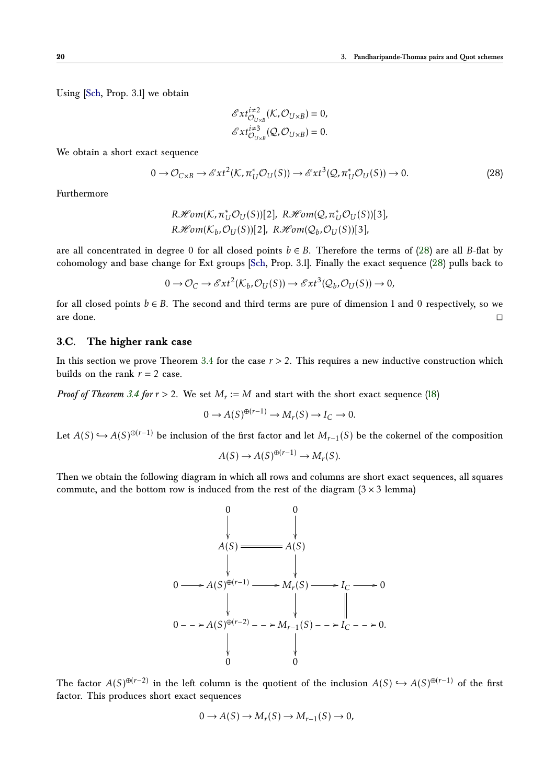Using [\[Sch,](#page-27-12) Prop. 3.1] we obtain

$$
\mathcal{E}xt_{\mathcal{O}_{U\times B}}^{i\neq 2}(\mathcal{K},\mathcal{O}_{U\times B})=0,
$$
  

$$
\mathcal{E}xt_{\mathcal{O}_{U\times B}}^{i\neq 3}(\mathcal{Q},\mathcal{O}_{U\times B})=0.
$$

We obtain a short exact sequence

<span id="page-19-0"></span>
$$
0 \to \mathcal{O}_{C \times B} \to \mathcal{E}xt^2(\mathcal{K}, \pi_U^*\mathcal{O}_U(S)) \to \mathcal{E}xt^3(\mathcal{Q}, \pi_U^*\mathcal{O}_U(S)) \to 0. \tag{28}
$$

Furthermore

$$
R\mathcal{H}om(K, \pi_U^* \mathcal{O}_U(S))[2], R\mathcal{H}om(\mathcal{Q}, \pi_U^* \mathcal{O}_U(S))[3],
$$
  

$$
R\mathcal{H}om(K_b, \mathcal{O}_U(S))[2], R\mathcal{H}om(\mathcal{Q}_b, \mathcal{O}_U(S))[3],
$$

are all concentrated in degree 0 for all closed points  $b \in B$ . Therefore the terms of [\(28\)](#page-19-0) are all *B*-flat by cohomology and base change for Ext groups [\[Sch,](#page-27-12) Prop. 3.1]. Finally the exact sequence [\(28\)](#page-19-0) pulls back to

$$
0 \to \mathcal{O}_C \to \mathcal{E}xt^2(\mathcal{K}_b, \mathcal{O}_U(S)) \to \mathcal{E}xt^3(\mathcal{Q}_b, \mathcal{O}_U(S)) \to 0,
$$

for all closed points  $b \in B$ . The second and third terms are pure of dimension 1 and 0 respectively, so we are done.

### <span id="page-19-1"></span>**3.C. The higher rank case**

In this section we prove Theorem [3.4](#page-15-0) for the case *r >* 2. This requires a new inductive construction which builds on the rank  $r = 2$  case.

*Proof of Theorem [3.4](#page-15-0) for*  $r > 2$ *.* We set  $M_r := M$  and start with the short exact sequence [\(18\)](#page-14-0)

$$
0 \to A(S)^{\oplus (r-1)} \to M_r(S) \to I_C \to 0.
$$

Let  $A(S) \hookrightarrow A(S)^{\oplus (r-1)}$  be inclusion of the first factor and let  $M_{r-1}(S)$  be the cokernel of the composition

$$
A(S) \to A(S)^{\oplus (r-1)} \to M_r(S).
$$

Then we obtain the following diagram in which all rows and columns are short exact sequences, all squares commute, and the bottom row is induced from the rest of the diagram  $(3 \times 3 \text{ lemma})$ 

$$
\begin{array}{ccc}\n & 0 & 0 \\
 & \downarrow & \downarrow \\
A(S) \xrightarrow{\qquad \qquad } A(S) \\
 & \downarrow & \downarrow \\
0 \xrightarrow{\qquad \qquad } A(S)^{\oplus (r-1)} \xrightarrow{\qquad \qquad } M_r(S) \xrightarrow{\qquad \qquad } I_C \xrightarrow{\qquad \qquad } 0 \\
 & \downarrow & \downarrow & \downarrow & \downarrow \\
0 \xrightarrow{\qquad \qquad } 0 & 0\n\end{array}
$$

The factor  $A(S)^{\oplus (r-2)}$  in the left column is the quotient of the inclusion  $A(S) \hookrightarrow A(S)^{\oplus (r-1)}$  of the first factor. This produces short exact sequences

$$
0 \to A(S) \to M_r(S) \to M_{r-1}(S) \to 0,
$$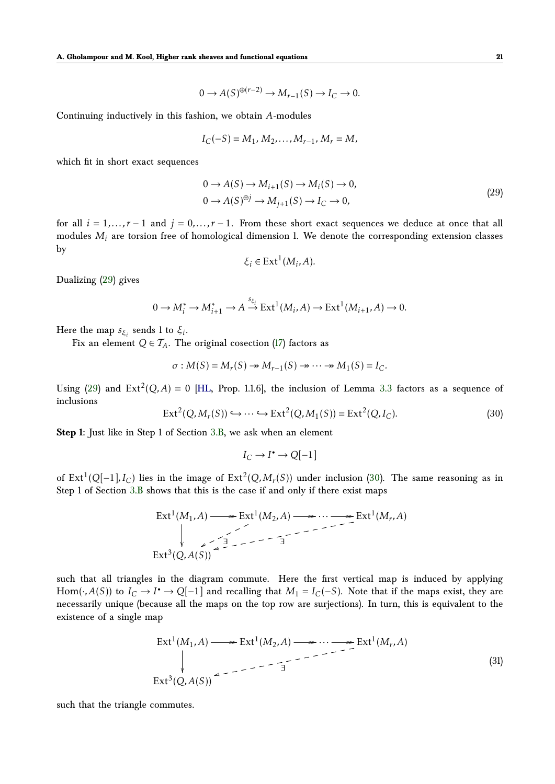0 →  $A(S)^{\oplus (r-2)}$  →  $M_{r-1}(S)$  →  $I_C$  → 0*.* 

Continuing inductively in this fashion, we obtain *A*-modules

$$
I_C(-S) = M_1, M_2, \ldots, M_{r-1}, M_r = M,
$$

which fit in short exact sequences

$$
0 \to A(S) \to M_{i+1}(S) \to M_i(S) \to 0,
$$
  
\n
$$
0 \to A(S)^{\oplus j} \to M_{j+1}(S) \to I_C \to 0,
$$
\n(29)

for all  $i = 1, ..., r-1$  and  $j = 0, ..., r-1$ . From these short exact sequences we deduce at once that all modules *M<sup>i</sup>* are torsion free of homological dimension 1. We denote the corresponding extension classes by

<span id="page-20-0"></span>
$$
\xi_i \in \text{Ext}^1(M_i, A).
$$

Dualizing [\(29\)](#page-20-0) gives

$$
0 \to M_i^* \to M_{i+1}^* \to A \stackrel{s_{\xi_i}}{\to} \operatorname{Ext}^1(M_i, A) \to \operatorname{Ext}^1(M_{i+1}, A) \to 0.
$$

Here the map  $s_{\xi_i}$  sends 1 to  $\xi_i.$ 

Fix an element  $Q \in \mathcal{T}_A$ . The original cosection [\(17\)](#page-13-3) factors as

$$
\sigma: M(S) = M_r(S) \twoheadrightarrow M_{r-1}(S) \twoheadrightarrow \cdots \twoheadrightarrow M_1(S) = I_C.
$$

Using [\(29\)](#page-20-0) and  $Ext^2(Q, A) = 0$  [\[HL,](#page-27-0) Prop. 1.1.6], the inclusion of Lemma [3.3](#page-14-3) factors as a sequence of inclusions

<span id="page-20-1"></span>
$$
\operatorname{Ext}^2(Q, M_r(S)) \hookrightarrow \cdots \hookrightarrow \operatorname{Ext}^2(Q, M_1(S)) = \operatorname{Ext}^2(Q, I_C). \tag{30}
$$

**Step 1:** Just like in Step 1 of Section [3.B,](#page-15-2) we ask when an element

$$
I_C \to I^{\bullet} \to Q[-1]
$$

of  $Ext^1(Q[-1], I_C)$  lies in the image of  $Ext^2(Q, M_r(S))$  under inclusion [\(30\)](#page-20-1). The same reasoning as in Step 1 of Section [3.B](#page-15-2) shows that this is the case if and only if there exist maps

$$
\operatorname{Ext}^1(M_1, A) \longrightarrow \operatorname{Ext}^1(M_2, A) \longrightarrow \cdots \longrightarrow \operatorname{Ext}^1(M_r, A)
$$
  

$$
\downarrow \qquad \qquad \searrow \qquad \searrow \qquad \searrow
$$
  

$$
\operatorname{Ext}^3(Q, A(S)) \longrightarrow \operatorname{Ext}^1(M_r, A)
$$

such that all triangles in the diagram commute. Here the first vertical map is induced by applying Hom( $\cdot$ , *A*(*S*)) to  $I_C \to I^* \to Q[-1]$  and recalling that  $M_1 = I_C(-S)$ . Note that if the maps exist, they are necessarily unique (because all the maps on the top row are surjections). In turn, this is equivalent to the existence of a single map

<span id="page-20-2"></span>
$$
\operatorname{Ext}^1(M_1, A) \longrightarrow \operatorname{Ext}^1(M_2, A) \longrightarrow \cdots \longrightarrow \operatorname{Ext}^1(M_r, A)
$$
\n
$$
\downarrow
$$
\n
$$
\operatorname{Ext}^3(Q, A(S)) \longrightarrow \widetilde{A} \longrightarrow \widetilde{A} \longrightarrow \widetilde{A} \longrightarrow \widetilde{A}
$$
\n(31)

such that the triangle commutes.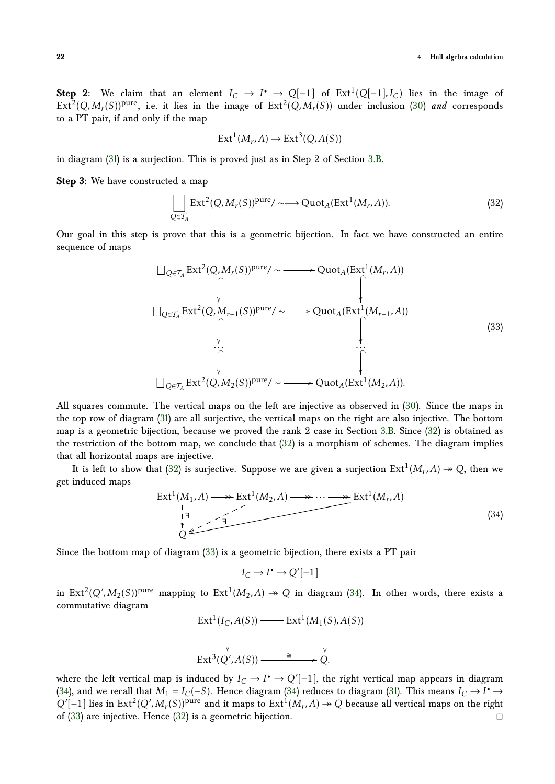**Step 2:** We claim that an element  $I_C \to I^{\bullet} \to Q[-1]$  of  $Ext^1(Q[-1], I_C)$  lies in the image of  $Ext^2(Q, M_r(S))^{pure}$ , i.e. it lies in the image of  $Ext^2(Q, M_r(S))$  under inclusion [\(30\)](#page-20-1) *and* corresponds to a PT pair, if and only if the map

$$
\text{Ext}^1(M_r, A) \to \text{Ext}^3(Q, A(S))
$$

in diagram [\(31\)](#page-20-2) is a surjection. This is proved just as in Step 2 of Section [3.B.](#page-15-2)

**Step 3:** We have constructed a map

<span id="page-21-0"></span>
$$
\bigcup_{Q \in \mathcal{T}_A} \text{Ext}^2(Q, M_r(S))^{\text{pure}} / \sim \longrightarrow \text{Quot}_A(\text{Ext}^1(M_r, A)).
$$
\n(32)

Our goal in this step is prove that this is a geometric bijection. In fact we have constructed an entire sequence of maps

<span id="page-21-1"></span>
$$
\begin{array}{ccc}\n\bigcup_{Q \in \mathcal{T}_A} \text{Ext}^2(Q, M_r(S))^{\text{pure}} / \sim & \longrightarrow \text{Quot}_A(\text{Ext}^1(M_r, A)) \\
\downarrow & & \downarrow \\
\bigcup_{Q \in \mathcal{T}_A} \text{Ext}^2(Q, M_{r-1}(S))^{\text{pure}} / \sim & \longrightarrow \text{Quot}_A(\text{Ext}^1(M_{r-1}, A)) \\
& & \downarrow \\
\downarrow & & \downarrow \\
\downarrow & & \downarrow \\
\bigcup_{Q \in \mathcal{T}_A} \text{Ext}^2(Q, M_2(S))^{\text{pure}} / \sim & \longrightarrow \text{Quot}_A(\text{Ext}^1(M_2, A)).\n\end{array}\n\tag{33}
$$

All squares commute. The vertical maps on the left are injective as observed in [\(30\)](#page-20-1). Since the maps in the top row of diagram [\(31\)](#page-20-2) are all surjective, the vertical maps on the right are also injective. The bottom map is a geometric bijection, because we proved the rank 2 case in Section [3.B.](#page-15-2) Since [\(32\)](#page-21-0) is obtained as the restriction of the bottom map, we conclude that  $(32)$  is a morphism of schemes. The diagram implies that all horizontal maps are injective.

It is left to show that [\(32\)](#page-21-0) is surjective. Suppose we are given a surjection  $Ext^1(M_r, A) \twoheadrightarrow Q$ , then we get induced maps

<span id="page-21-2"></span>
$$
\operatorname{Ext}^{1}(M_{1}, A) \longrightarrow \operatorname{Ext}^{1}(M_{2}, A) \longrightarrow \operatorname{Ext}^{1}(M_{r}, A)
$$
\n
$$
\downarrow \qquad \qquad \downarrow
$$
\n
$$
\downarrow \qquad \qquad \downarrow
$$
\n
$$
\downarrow \qquad \qquad \downarrow
$$
\n
$$
\downarrow
$$
\n
$$
\downarrow
$$
\n
$$
\downarrow
$$
\n
$$
\downarrow
$$
\n
$$
(34)
$$

Since the bottom map of diagram [\(33\)](#page-21-1) is a geometric bijection, there exists a PT pair

 $I_C \rightarrow I^{\bullet} \rightarrow Q'[-1]$ 

in  $Ext^2(Q', M_2(S))^{\text{pure}}$  mapping to  $Ext^1(M_2, A) \twoheadrightarrow Q$  in diagram [\(34\)](#page-21-2). In other words, there exists a commutative diagram

$$
\begin{aligned}\n\operatorname{Ext}^1(I_C, A(S)) & \longrightarrow \operatorname{Ext}^1(M_1(S), A(S)) \\
&\downarrow \qquad \qquad \downarrow \\
\operatorname{Ext}^3(Q', A(S)) &\longrightarrow Q.\n\end{aligned}
$$

where the left vertical map is induced by  $I_C \to I^{\bullet} \to Q'[-1]$ , the right vertical map appears in diagram [\(34\)](#page-21-2), and we recall that  $M_1 = I_C(-S)$ . Hence diagram (34) reduces to diagram [\(31\)](#page-20-2). This means  $I_C \to I^{\bullet} \to I^{\bullet}$  $Q'[-1]$  lies in Ext<sup>2</sup>( $Q', M_r(S)$ )<sup>pure</sup> and it maps to Ext<sup>1</sup>( $M_r$ ,A)  $\rightarrow Q$  because all vertical maps on the right of [\(33\)](#page-21-1) are injective. Hence [\(32\)](#page-21-0) is a geometric bijection.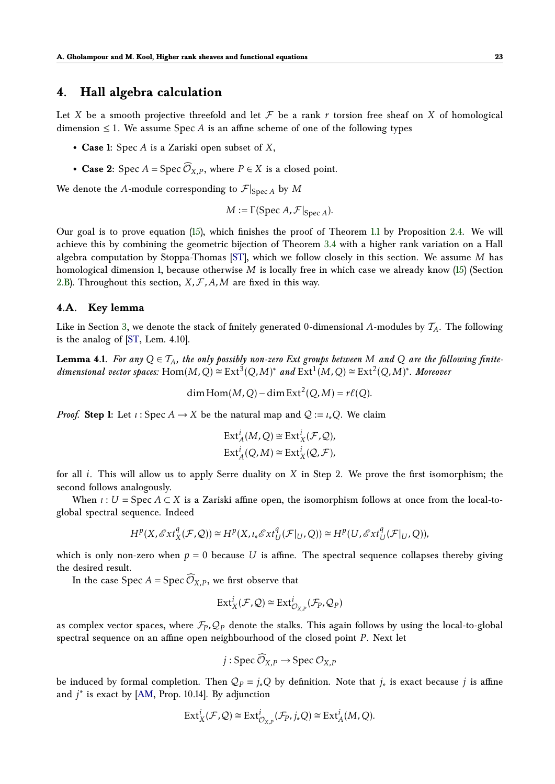## <span id="page-22-0"></span>**4. Hall algebra calculation**

Let *X* be a smooth projective threefold and let  $F$  be a rank  $r$  torsion free sheaf on  $X$  of homological dimension  $\leq 1$ . We assume Spec *A* is an affine scheme of one of the following types

- **Case 1:** Spec *A* is a Zariski open subset of *X*,
- **Case 2:** Spec  $A = \text{Spec } \widehat{\mathcal{O}}_{X,P}$ , where  $P \in X$  is a closed point.

We denote the *A*-module corresponding to  $\mathcal{F}|_{\text{Spec } A}$  by *M* 

$$
M := \Gamma(\text{Spec } A, \mathcal{F}|_{\text{Spec } A}).
$$

Our goal is to prove equation [\(15\)](#page-10-2), which finishes the proof of Theorem [1.1](#page-1-1) by Proposition [2.4.](#page-10-4) We will achieve this by combining the geometric bijection of Theorem [3.4](#page-15-0) with a higher rank variation on a Hall algebra computation by Stoppa-Thomas [\[ST\]](#page-28-0), which we follow closely in this section. We assume *M* has homological dimension 1, because otherwise *M* is locally free in which case we already know [\(15\)](#page-10-2) (Section [2.B\)](#page-9-5). Throughout this section,  $X, F, A, M$  are fixed in this way.

#### **4.A. Key lemma**

Like in Section [3,](#page-12-0) we denote the stack of finitely generated 0-dimensional A-modules by  $\mathcal{T}_A$ . The following is the analog of [\[ST,](#page-28-0) Lem. 4.10].

**Lemma 4.1.** For any  $Q \in T_A$ , the only possibly non-zero Ext groups between M and Q are the following finite $dimensional vector spaces: Hom(M,Q) \cong Ext^{3}(Q,M)^{*} and Ext^{1}(M,Q) \cong Ext^{2}(Q,M)^{*}$ . Moreover

<span id="page-22-1"></span>dim Hom( $M$ , Q) – dim Ext<sup>2</sup>(Q,  $M$ ) =  $r\ell$ (Q).

*Proof.* **Step 1:** Let *ι* : Spec  $A \rightarrow X$  be the natural map and  $Q := \iota_* Q$ . We claim

$$
\text{Ext}^i_A(M, Q) \cong \text{Ext}^i_X(\mathcal{F}, Q),
$$
  

$$
\text{Ext}^i_A(Q, M) \cong \text{Ext}^i_X(Q, \mathcal{F}),
$$

for all *i*. This will allow us to apply Serre duality on *X* in Step 2. We prove the first isomorphism; the second follows analogously.

When  $\iota: U = \text{Spec } A \subset X$  is a Zariski affine open, the isomorphism follows at once from the local-toglobal spectral sequence. Indeed

$$
H^p(X, \mathscr{E}xt_X^q(\mathcal{F}, \mathcal{Q})) \cong H^p(X, \iota_*\mathscr{E}xt_U^q(\mathcal{F}|_U, Q)) \cong H^p(U, \mathscr{E}xt_U^q(\mathcal{F}|_U, Q)),
$$

which is only non-zero when  $p = 0$  because U is affine. The spectral sequence collapses thereby giving the desired result.

In the case Spec  $A = \text{Spec } \widehat{\mathcal{O}}_{X,P}$ , we first observe that

$$
\mathrm{Ext}^i_X(\mathcal{F},\mathcal{Q})\cong \mathrm{Ext}^i_{\mathcal{O}_{X,P}}(\mathcal{F}_P,\mathcal{Q}_P)
$$

as complex vector spaces, where  $\mathcal{F}_P, \mathcal{Q}_P$  denote the stalks. This again follows by using the local-to-global spectral sequence on an affine open neighbourhood of the closed point *P*. Next let

$$
j: \operatorname{Spec} \widehat{\mathcal{O}}_{X,P} \to \operatorname{Spec} \mathcal{O}_{X,P}
$$

be induced by formal completion. Then  $Q_P = j_*Q$  by definition. Note that  $j_*$  is exact because  $j$  is affine and *j* ∗ is exact by [\[AM,](#page-26-11) Prop. 10.14]. By adjunction

$$
\mathrm{Ext}^i_X(\mathcal{F},\mathcal{Q})\cong \mathrm{Ext}^i_{\mathcal{O}_{X,P}}(\mathcal{F}_P,j_*Q)\cong \mathrm{Ext}^i_A(M,Q).
$$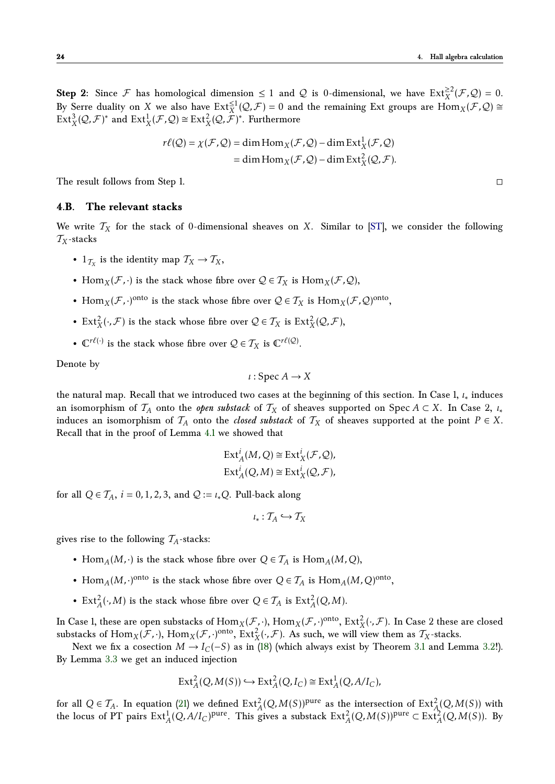**Step 2:** Since  $\mathcal{F}$  has homological dimension  $\leq 1$  and  $\mathcal{Q}$  is 0-dimensional, we have  $Ext_X^{\geq 2}(\mathcal{F}, \mathcal{Q}) = 0$ . By Serre duality on *X* we also have  $Ext_X^{\leq 1}(\mathcal{Q}, \mathcal{F}) = 0$  and the remaining Ext groups are  $Hom_X(\mathcal{F}, \mathcal{Q}) \cong$  $\text{Ext}^3_X(\mathcal{Q}, \mathcal{F})^*$  and  $\text{Ext}^1_X(\mathcal{F}, \mathcal{Q}) \cong \text{Ext}^2_X(\mathcal{Q}, \hat{\mathcal{F}})^*$ . Furthermore

$$
r\ell(Q) = \chi(\mathcal{F}, Q) = \dim \text{Hom}_X(\mathcal{F}, Q) - \dim \text{Ext}^1_X(\mathcal{F}, Q)
$$

$$
= \dim \text{Hom}_X(\mathcal{F}, Q) - \dim \text{Ext}^2_X(Q, \mathcal{F}).
$$

The result follows from Step 1.

#### **4.B. The relevant stacks**

We write  $T_X$  for the stack of 0-dimensional sheaves on *X*. Similar to [\[ST\]](#page-28-0), we consider the following T*X*-stacks

- $1_{\mathcal{T}_X}$  is the identity map  $\mathcal{T}_X \to \mathcal{T}_X$ ,
- Hom<sub>*X*</sub>( $\mathcal{F}$ , $\cdot$ ) is the stack whose fibre over  $\mathcal{Q} \in \mathcal{T}_X$  is Hom<sub>*X*</sub>( $\mathcal{F}$ , $\mathcal{Q}$ ),
- Hom<sub>*X*</sub>( $\mathcal{F}$ , $\cdot$ )<sup>onto</sup> is the stack whose fibre over  $\mathcal{Q} \in \mathcal{T}_X$  is Hom<sub>*X*</sub>( $\mathcal{F}$ , $\mathcal{Q}$ )<sup>onto</sup>,
- Ext<sup>2</sup><sub>*X*</sub>( $\cdot$ , *F*) is the stack whose fibre over  $\mathcal{Q} \in \mathcal{T}_X$  is Ext<sup>2</sup><sub>*X*</sub>( $\mathcal{Q}, \mathcal{F}$ ),
- $\mathbb{C}^{r\ell(\cdot)}$  is the stack whose fibre over  $\mathcal{Q} \in \mathcal{T}_X$  is  $\mathbb{C}^{r\ell(\mathcal{Q})}$ .

Denote by

$$
\iota: \operatorname{Spec} A \to X
$$

the natural map. Recall that we introduced two cases at the beginning of this section. In Case 1, *ι*∗ induces an isomorphism of  $\mathcal{T}_A$  onto the *open substack* of  $\mathcal{T}_X$  of sheaves supported on Spec  $A \subset X$ . In Case 2, *i*<sup>\*</sup> induces an isomorphism of  $\mathcal{T}_A$  onto the *closed substack* of  $\mathcal{T}_X$  of sheaves supported at the point  $P \in X$ . Recall that in the proof of Lemma [4.1](#page-22-1) we showed that

$$
\text{Ext}_{A}^{i}(M, Q) \cong \text{Ext}_{X}^{i}(\mathcal{F}, Q),
$$
  

$$
\text{Ext}_{A}^{i}(Q, M) \cong \text{Ext}_{X}^{i}(Q, \mathcal{F}),
$$

for all  $Q \in \mathcal{T}_A$ ,  $i = 0, 1, 2, 3$ , and  $Q := \iota_* Q$ . Pull-back along

$$
\iota_*: \mathcal{T}_A \hookrightarrow \mathcal{T}_X
$$

gives rise to the following  $T_A$ -stacks:

- Hom<sub>*A*</sub>(*M*, ·) is the stack whose fibre over  $Q \in \mathcal{T}_A$  is Hom<sub>*A*</sub>(*M*, *Q*),
- Hom<sub>*A*</sub>(*M*,·)<sup>onto</sup> is the stack whose fibre over  $Q \in \mathcal{T}_A$  is Hom<sub>*A*</sub>(*M*,*Q*)<sup>onto</sup>,
- Ext<sup>2</sup><sub>*A*</sub>( $\cdot$ ,*M*) is the stack whose fibre over  $Q \in \mathcal{T}_A$  is Ext<sup>2</sup><sub>*A*</sub>( $Q$ ,*M*).

In Case 1, these are open substacks of  $\text{Hom}_X(\mathcal{F}, \cdot)$ ,  $\text{Hom}_X(\mathcal{F}, \cdot)$ <sup>onto</sup>,  $\text{Ext}^2_X(\cdot, \mathcal{F})$ . In Case 2 these are closed substacks of  $\text{Hom}_X(\mathcal{F}, \cdot)$ ,  $\text{Hom}_X(\mathcal{F}, \cdot)$ <sup>onto</sup>,  $\text{Ext}_X^2(\cdot, \mathcal{F})$ . As such, we will view them as  $\mathcal{T}_X$ -stacks.

Next we fix a cosection *M* → *I*<sub>*C*</sub>(−*S*) as in [\(18\)](#page-14-0) (which always exist by Theorem [3.1](#page-13-0) and Lemma [3.2!](#page-13-6)). By Lemma [3.3](#page-14-3) we get an induced injection

$$
\text{Ext}^2_A(Q, M(S)) \hookrightarrow \text{Ext}^2_A(Q, I_C) \cong \text{Ext}^1_A(Q, A/I_C),
$$

for all  $Q \in \mathcal{T}_A$ . In equation [\(21\)](#page-15-1) we defined  $\text{Ext}^2_A(Q, M(S))^\text{pure}$  as the intersection of  $\text{Ext}^2_A(Q, M(S))$  with the locus of PT pairs  $Ext_A^1(Q, A/I_C)$ <sup>pure</sup>. This gives a substack  $Ext_A^2(Q, M(S))$ <sup>pure</sup>  $\subset Ext_A^2(Q, M(S))$ . By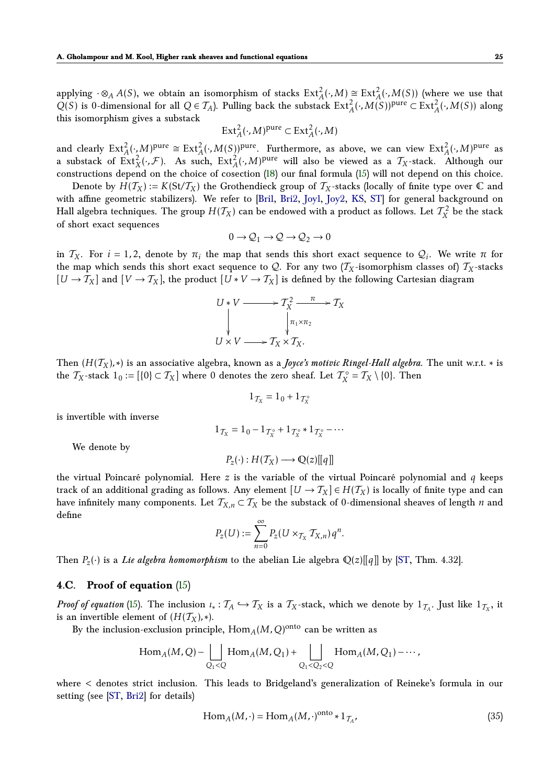applying  $\cdot \otimes_A A(S)$ , we obtain an isomorphism of stacks  $\text{Ext}^2_A(\cdot,M) \cong \text{Ext}^2_A(\cdot,M(S))$  (where we use that  $Q(S)$  is 0-dimensional for all  $Q \in \mathcal{T}_A$ ). Pulling back the substack  $Ext_A^2(\cdot, M(S))$ <sup>pure</sup> ⊂  $Ext_A^2(\cdot, M(S))$  along this isomorphism gives a substack

$$
\operatorname{Ext}_{A}^{2}(\cdot,M)^{\text{pure}} \subset \operatorname{Ext}_{A}^{2}(\cdot,M)
$$

and clearly  $\text{Ext}_{A}^{2}(\cdot,M)^{\text{pure}} \cong \text{Ext}_{A}^{2}(\cdot,M(S))^{\text{pure}}$ . Furthermore, as above, we can view  $\text{Ext}_{A}^{2}(\cdot,M)^{\text{pure}}$  as a substack of  $\text{Ext}^2_X(\cdot, \mathcal{F})$ . As such,  $\text{Ext}^2_A(\cdot, M)^{\text{pure}}$  will also be viewed as a  $\mathcal{T}_X$ -stack. Although our constructions depend on the choice of cosection [\(18\)](#page-14-0) our final formula [\(15\)](#page-10-2) will not depend on this choice.

Denote by  $H(T_X) := K(\text{St}/T_X)$  the Grothendieck group of  $T_X$ -stacks (locally of finite type over  $\mathbb C$  and with affine geometric stabilizers). We refer to [\[Bri1,](#page-26-14) [Bri2,](#page-26-2) [Joy1,](#page-27-9) [Joy2,](#page-27-18) [KS,](#page-27-19) [ST\]](#page-28-0) for general background on Hall algebra techniques. The group  $H(T_X)$  can be endowed with a product as follows. Let  $\mathcal{T}^2_X$  be the stack of short exact sequences

$$
0\to {\cal Q}_1\to {\cal Q}\to {\cal Q}_2\to 0
$$

in  $T_X$ . For  $i = 1, 2$ , denote by  $\pi_i$  the map that sends this short exact sequence to  $Q_i$ . We write  $\pi$  for the map which sends this short exact sequence to  $Q$ . For any two  $(T_X$ -isomorphism classes of)  $T_X$ -stacks  $[U \to T_X]$  and  $[V \to T_X]$ , the product  $[U * V \to T_X]$  is defined by the following Cartesian diagram

$$
U*V \longrightarrow T_X^2 \longrightarrow T_X \longrightarrow T_X
$$
  
\n
$$
\downarrow \qquad \qquad \downarrow \qquad \qquad T_{\chi \times T_Z}
$$
  
\n
$$
U \times V \longrightarrow T_X \times T_X.
$$

Then  $(H(T_X), *)$  is an associative algebra, known as a *Joyce's motivic Ringel-Hall algebra*. The unit w.r.t.  $*$  is the  $T_X$ -stack  $1_0 := [\{0\} \subset T_X]$  where 0 denotes the zero sheaf. Let  $T_X^{\circ} = T_X \setminus \{0\}$ . Then

$$
1_{\mathcal{T}_X} = 1_0 + 1_{\mathcal{T}_X^\circ}
$$

is invertible with inverse

$$
1_{\mathcal{T}_X} = 1_0 - 1_{\mathcal{T}_X^{\circ}} + 1_{\mathcal{T}_X^{\circ}} * 1_{\mathcal{T}_X^{\circ}} - \cdots
$$

We denote by

$$
P_z(\cdot): H(\mathcal{T}_X) \longrightarrow \mathbb{Q}(z)[[q]]
$$

the virtual Poincaré polynomial. Here *z* is the variable of the virtual Poincaré polynomial and *q* keeps track of an additional grading as follows. Any element  $[U \to T_X] \in H(T_X)$  is locally of finite type and can have infinitely many components. Let  $T_{X,n} \subset T_X$  be the substack of 0-dimensional sheaves of length *n* and define

$$
P_z(U) := \sum_{n=0}^{\infty} P_z(U \times_{\mathcal{T}_X} \mathcal{T}_{X,n}) q^n.
$$

Then  $P_z(\cdot)$  is a *Lie algebra homomorphism* to the abelian Lie algebra  $\mathbb{Q}(z)[[q]]$  by [\[ST,](#page-28-0) Thm. 4.32].

## <span id="page-24-0"></span>**4.C. Proof of equation** [\(15\)](#page-10-2)

*Proof of equation* [\(15\)](#page-10-2). The inclusion  $\iota_* : \mathcal{T}_A \hookrightarrow \mathcal{T}_X$  is a  $\mathcal{T}_X$ -stack, which we denote by  $1_{\mathcal{T}_A}$ . Just like  $1_{\mathcal{T}_X}$ , it is an invertible element of  $(H(\mathcal{T}_X), *).$ 

By the inclusion-exclusion principle,  $\operatorname{Hom}_{A}(M,Q)^{\operatorname{onto}}$  can be written as

$$
\operatorname{Hom}_A(M,Q) - \bigsqcup_{Q_1 < Q} \operatorname{Hom}_A(M,Q_1) + \bigsqcup_{Q_1 < Q_2 < Q} \operatorname{Hom}_A(M,Q_1) - \cdots,
$$

where *<* denotes strict inclusion. This leads to Bridgeland's generalization of Reineke's formula in our setting (see [\[ST,](#page-28-0) [Bri2\]](#page-26-2) for details)

<span id="page-24-1"></span>
$$
\text{Hom}_A(M, \cdot) = \text{Hom}_A(M, \cdot)^{\text{onto}} * 1_{\mathcal{T}_A},\tag{35}
$$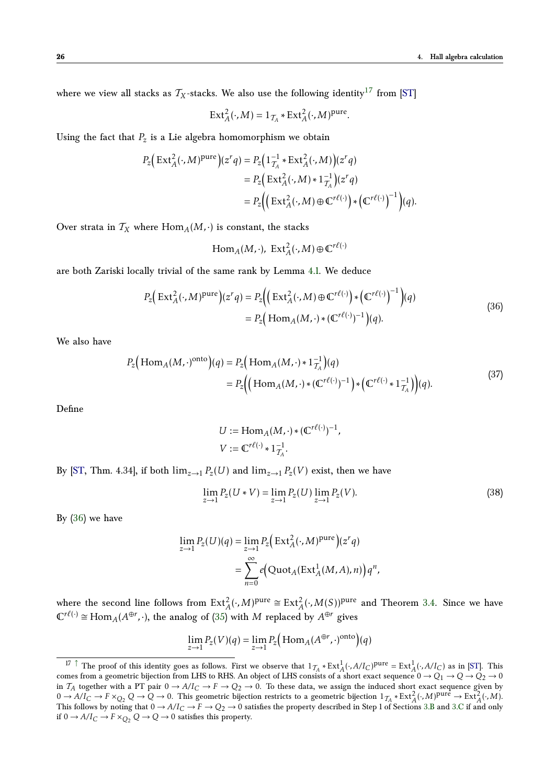where we view all stacks as  $T_X$ -stacks. We also use the following identity<sup>[17](#page-25-0)</sup> from [\[ST\]](#page-28-0)

<span id="page-25-2"></span>
$$
\operatorname{Ext}_{A}^{2}(\cdot, M) = 1_{\mathcal{T}_{A}} * \operatorname{Ext}_{A}^{2}(\cdot, M)^{\operatorname{pure}}.
$$

Using the fact that  $P_z$  is a Lie algebra homomorphism we obtain

$$
P_z\Big(\operatorname{Ext}_A^2(\cdot,M)^{\text{pure}}\Big)(z^r q) = P_z\Big(1_{\mathcal{T}_A}^{-1} * \operatorname{Ext}_A^2(\cdot,M)\Big)(z^r q)
$$
  
= 
$$
P_z\Big(\operatorname{Ext}_A^2(\cdot,M) * 1_{\mathcal{T}_A}^{-1}\Big)(z^r q)
$$
  
= 
$$
P_z\Big(\Big(\operatorname{Ext}_A^2(\cdot,M) \oplus \mathbb{C}^{r\ell(\cdot)}\Big) * \Big(\mathbb{C}^{r\ell(\cdot)}\Big)^{-1}\Big)(q).
$$

Over strata in  $T_X$  where  $\text{Hom}_A(M, \cdot)$  is constant, the stacks

<span id="page-25-1"></span>
$$
\mathrm{Hom}_A(M,\cdot), \ \mathrm{Ext}^2_A(\cdot,M) \oplus \mathbb{C}^{r\ell(\cdot)}
$$

are both Zariski locally trivial of the same rank by Lemma [4.1.](#page-22-1) We deduce

$$
P_z\left(\operatorname{Ext}_A^2(\cdot,M)^{\text{pure}}\right)(z^r q) = P_z\left(\left(\operatorname{Ext}_A^2(\cdot,M)\oplus\mathbb{C}^{r\ell(\cdot)}\right)*\left(\mathbb{C}^{r\ell(\cdot)}\right)^{-1}\right)(q)
$$
  
= 
$$
P_z\left(\operatorname{Hom}_A(M,\cdot)*(\mathbb{C}^{r\ell(\cdot)})^{-1}\right)(q).
$$
 (36)

We also have

$$
P_z\left(\text{Hom}_A(M, \cdot)^{\text{onto}}\right)(q) = P_z\left(\text{Hom}_A(M, \cdot) * 1_{\mathcal{I}_A}^{-1}\right)(q)
$$
  
= 
$$
P_z\left(\left(\text{Hom}_A(M, \cdot) * (\mathbb{C}^{r\ell(\cdot)})^{-1}\right) * \left(\mathbb{C}^{r\ell(\cdot)} * 1_{\mathcal{I}_A}^{-1}\right)(q).
$$
 (37)

Define

<span id="page-25-3"></span>
$$
U := \operatorname{Hom}_A(M, \cdot) * (\mathbb{C}^{r\ell(\cdot)})^{-1},
$$
  

$$
V := \mathbb{C}^{r\ell(\cdot)} * 1_{\mathcal{T}_A}^{-1}.
$$

By [\[ST,](#page-28-0) Thm. 4.34], if both  $\lim_{z\to 1} P_z(U)$  and  $\lim_{z\to 1} P_z(V)$  exist, then we have

<span id="page-25-4"></span>
$$
\lim_{z \to 1} P_z(U*V) = \lim_{z \to 1} P_z(U) \lim_{z \to 1} P_z(V).
$$
\n(38)

By  $(36)$  we have

$$
\lim_{z \to 1} P_z(U)(q) = \lim_{z \to 1} P_z\Big(\operatorname{Ext}_A^2(\cdot, M)^{\text{pure}}\Big)(z^r q)
$$

$$
= \sum_{n=0}^{\infty} e\Big(\operatorname{Quot}_A(\operatorname{Ext}_A^1(M, A), n)\Big) q^n,
$$

where the second line follows from  $Ext_A^2(\cdot,M)^{pure} \cong Ext_A^2(\cdot,M(S))^{pure}$  and Theorem [3.4.](#page-15-0) Since we have  $\mathbb{C}^{r\ell(\cdot)} \cong \text{Hom}_{A}(A^{\oplus r},\cdot)$ , the analog of [\(35\)](#page-24-1) with *M* replaced by  $A^{\oplus r}$  gives

$$
\lim_{z \to 1} P_z(V)(q) = \lim_{z \to 1} P_z \Big( \operatorname{Hom}_A(A^{\oplus r}, \cdot)^{\operatorname{onto}} \Big)(q)
$$

<span id="page-25-0"></span><sup>&</sup>lt;sup>17</sup> [↑](#page-25-2) The proof of this identity goes as follows. First we observe that  $1_{\mathcal{T}_A} * \text{Ext}^1_A(\cdot, A/I_C)$ <sup>pure</sup> = Ext<sub>A</sub>( $\cdot$ , A/I<sub>*C*</sub>) as in [\[ST\]](#page-28-0). This comes from a geometric bijection from LHS to RHS. An object of LHS consists of a short exact sequence  $0 \to Q_1 \to Q \to Q_2 \to 0$ in  $T_A$  together with a PT pair  $0 \to A/I_C \to F \to Q_2 \to 0$ . To these data, we assign the induced short exact sequence given by  $0 \rightarrow A/I_C$  →  $F \times_{Q_2} Q \rightarrow Q \rightarrow 0$ . This geometric bijection restricts to a geometric bijection  $1_{\mathcal{T}_A} * \text{Ext}_A^2(\cdot, M)$ <sup>pure</sup> →  $\text{Ext}_A^2(\cdot, M)$ . This follows by noting that  $0 \to A/I_C \to F \to Q_2 \to 0$  satisfies the property described in Step 1 of Sections [3.B](#page-15-2) and [3.C](#page-19-1) if and only if 0 →  $A/I_C$  →  $F \times_{Q_2} Q$  →  $Q$  → 0 satisfies this property.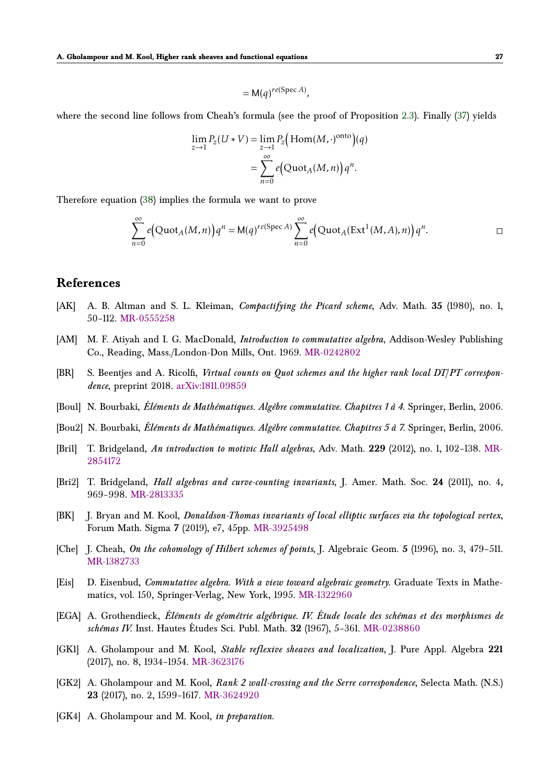$$
= \mathsf{M}(q)^{re(\operatorname{Spec} A)},
$$

where the second line follows from Cheah's formula (see the proof of Proposition [2.3\)](#page-9-4). Finally [\(37\)](#page-25-3) yields

$$
\lim_{z \to 1} P_z(U*V) = \lim_{z \to 1} P_z(\text{Hom}(M, \cdot)^{\text{onto}})(q)
$$

$$
= \sum_{n=0}^{\infty} e(\text{Quot}_A(M, n)) q^n.
$$

Therefore equation [\(38\)](#page-25-4) implies the formula we want to prove

$$
\sum_{n=0}^{\infty} e\big(\text{Quot}_A(M,n)\big)q^n = M(q)^{re(\text{Spec } A)} \sum_{n=0}^{\infty} e\big(\text{Quot}_A(\text{Ext}^1(M,A),n)\big)q^n.
$$

## <span id="page-26-0"></span>**References**

- <span id="page-26-6"></span>[AK] A. B. Altman and S. L. Kleiman, *Compactifying the Picard scheme*, Adv. Math. **35** (1980), no. 1, 50–112. [MR-0555258](http://www.ams.org/mathscinet-getitem?mr=0555258)
- <span id="page-26-11"></span>[AM] M. F. Atiyah and I. G. MacDonald, *Introduction to commutative algebra*, Addison-Wesley Publishing Co., Reading, Mass./London-Don Mills, Ont. 1969. [MR-0242802](http://www.ams.org/mathscinet-getitem?mr=0242802)
- <span id="page-26-4"></span>[BR] S. Beentjes and A. Ricolfi, *Virtual counts on Quot schemes and the higher rank local DT/PT correspondence*, preprint 2018. [arXiv:1811.09859](https://arxiv.org/abs/1811.09859)
- <span id="page-26-10"></span>[Bou1] N. Bourbaki, *Éléments de Mathématiques. Algèbre commutative. Chapitres 1 à 4*. Springer, Berlin, 2006.
- <span id="page-26-12"></span>[Bou2] N. Bourbaki, *Éléments de Mathématiques. Algèbre commutative. Chapitres 5 à 7*. Springer, Berlin, 2006.
- <span id="page-26-14"></span>[Bri1] T. Bridgeland, *An introduction to motivic Hall algebras*, Adv. Math. **229** (2012), no. 1, 102–138. [MR-](http://www.ams.org/mathscinet-getitem?mr=2854172)[2854172](http://www.ams.org/mathscinet-getitem?mr=2854172)
- <span id="page-26-2"></span>[Bri2] T. Bridgeland, *Hall algebras and curve-counting invariants*, J. Amer. Math. Soc. **24** (2011), no. 4, 969–998. [MR-2813335](http://www.ams.org/mathscinet-getitem?mr=2813335)
- <span id="page-26-8"></span>[BK] J. Bryan and M. Kool, *Donaldson-Thomas invariants of local elliptic surfaces via the topological vertex*, Forum Math. Sigma **7** (2019), e7, 45pp. [MR-3925498](http://www.ams.org/mathscinet-getitem?mr=3925498)
- <span id="page-26-7"></span>[Che] J. Cheah, *On the cohomology of Hilbert schemes of points*, J. Algebraic Geom. **5** (1996), no. 3, 479–511. [MR-1382733](http://www.ams.org/mathscinet-getitem?mr=1382733)
- <span id="page-26-13"></span>[Eis] D. Eisenbud, *Commutative algebra. With a view toward algebraic geometry.* Graduate Texts in Mathematics, vol. 150, Springer-Verlag, New York, 1995. [MR-1322960](http://www.ams.org/mathscinet-getitem?mr=1322960)
- <span id="page-26-9"></span>[EGA] A. Grothendieck, *Éléments de géométrie algébrique. IV. Étude locale des schémas et des morphismes de schémas IV.* Inst. Hautes Études Sci. Publ. Math. **32** (1967), 5–361. [MR-0238860](http://www.ams.org/mathscinet-getitem?mr=0238860)
- <span id="page-26-5"></span>[GK1] A. Gholampour and M. Kool, *Stable reflexive sheaves and localization*, J. Pure Appl. Algebra **221** (2017), no. 8, 1934–1954. [MR-3623176](http://www.ams.org/mathscinet-getitem?mr=3623176)
- <span id="page-26-3"></span>[GK2] A. Gholampour and M. Kool, *Rank 2 wall-crossing and the Serre correspondence*, Selecta Math. (N.S.) **23** (2017), no. 2, 1599–1617. [MR-3624920](http://www.ams.org/mathscinet-getitem?mr=3624920)
- <span id="page-26-1"></span>[GK4] A. Gholampour and M. Kool, *in preparation*.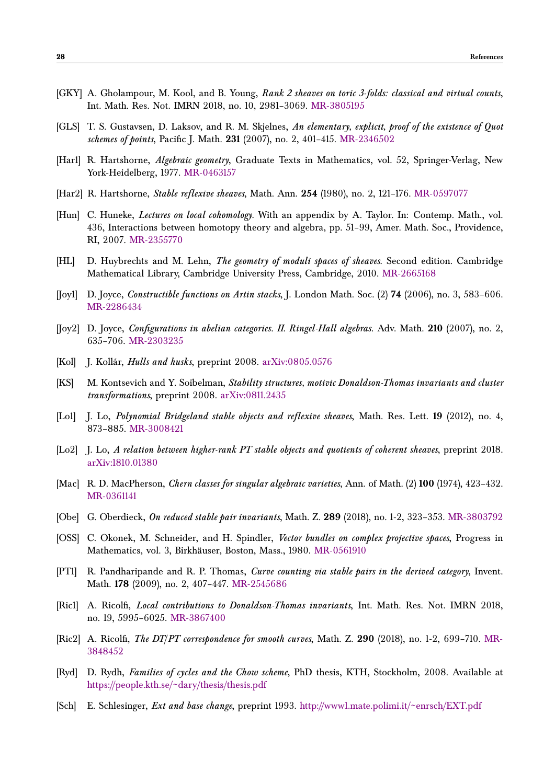- <span id="page-27-2"></span>[GKY] A. Gholampour, M. Kool, and B. Young, *Rank 2 sheaves on toric 3-folds: classical and virtual counts*, Int. Math. Res. Not. IMRN 2018, no. 10, 2981–3069. [MR-3805195](http://www.ams.org/mathscinet-getitem?mr=3805195)
- <span id="page-27-15"></span>[GLS] T. S. Gustavsen, D. Laksov, and R. M. Skjelnes, *An elementary, explicit, proof of the existence of Quot schemes of points*, Pacific J. Math. **231** (2007), no. 2, 401–415. [MR-2346502](http://www.ams.org/mathscinet-getitem?mr=2346502)
- <span id="page-27-17"></span>[Har1] R. Hartshorne, *Algebraic geometry*, Graduate Texts in Mathematics, vol. 52, Springer-Verlag, New York-Heidelberg, 1977. [MR-0463157](http://www.ams.org/mathscinet-getitem?mr=0463157)
- <span id="page-27-10"></span>[Har2] R. Hartshorne, *Stable reflexive sheaves*, Math. Ann. **254** (1980), no. 2, 121–176. [MR-0597077](http://www.ams.org/mathscinet-getitem?mr=0597077)
- <span id="page-27-11"></span>[Hun] C. Huneke, *Lectures on local cohomology*. With an appendix by A. Taylor. In: Contemp. Math., vol. 436, Interactions between homotopy theory and algebra, pp. 51–99, Amer. Math. Soc., Providence, RI, 2007. [MR-2355770](http://www.ams.org/mathscinet-getitem?mr=2355770)
- <span id="page-27-0"></span>[HL] D. Huybrechts and M. Lehn, *The geometry of moduli spaces of sheaves*. Second edition. Cambridge Mathematical Library, Cambridge University Press, Cambridge, 2010. [MR-2665168](http://www.ams.org/mathscinet-getitem?mr=2665168)
- <span id="page-27-9"></span>[Joy1] D. Joyce, *Constructible functions on Artin stacks*, J. London Math. Soc. (2) **74** (2006), no. 3, 583–606. [MR-2286434](http://www.ams.org/mathscinet-getitem?mr=2286434)
- <span id="page-27-18"></span>[Joy2] D. Joyce, *Configurations in abelian categories. II. Ringel-Hall algebras.* Adv. Math. **210** (2007), no. 2, 635–706. [MR-2303235](http://www.ams.org/mathscinet-getitem?mr=2303235)
- <span id="page-27-13"></span>[Kol] J. Kollár, *Hulls and husks*, preprint 2008. [arXiv:0805.0576](https://arxiv.org/abs/0805.0576)
- <span id="page-27-19"></span>[KS] M. Kontsevich and Y. Soibelman, *Stability structures, motivic Donaldson-Thomas invariants and cluster transformations*, preprint 2008. [arXiv:0811.2435](https://arxiv.org/abs/0811.2435)
- <span id="page-27-7"></span>[Lo1] J. Lo, *Polynomial Bridgeland stable objects and reflexive sheaves*, Math. Res. Lett. **19** (2012), no. 4, 873–885. [MR-3008421](http://www.ams.org/mathscinet-getitem?mr=3008421)
- <span id="page-27-8"></span>[Lo2] J. Lo, *A relation between higher-rank PT stable objects and quotients of coherent sheaves*, preprint 2018. [arXiv:1810.01380](https://arxiv.org/abs/1810.01380)
- <span id="page-27-14"></span>[Mac] R. D. MacPherson, *Chern classes for singular algebraic varieties*, Ann. of Math. (2) **100** (1974), 423–432. [MR-0361141](http://www.ams.org/mathscinet-getitem?mr=0361141)
- <span id="page-27-6"></span>[Obe] G. Oberdieck, *On reduced stable pair invariants*, Math. Z. **289** (2018), no. 1-2, 323–353. [MR-3803792](http://www.ams.org/mathscinet-getitem?mr=3803792)
- <span id="page-27-1"></span>[OSS] C. Okonek, M. Schneider, and H. Spindler, *Vector bundles on complex projective spaces*, Progress in Mathematics, vol. 3, Birkhäuser, Boston, Mass., 1980. [MR-0561910](http://www.ams.org/mathscinet-getitem?mr=0561910)
- <span id="page-27-3"></span>[PT1] R. Pandharipande and R. P. Thomas, *Curve counting via stable pairs in the derived category*, Invent. Math. **178** (2009), no. 2, 407–447. [MR-2545686](http://www.ams.org/mathscinet-getitem?mr=2545686)
- <span id="page-27-4"></span>[Ric1] A. Ricolfi, *Local contributions to Donaldson-Thomas invariants*, Int. Math. Res. Not. IMRN 2018, no. 19, 5995–6025. [MR-3867400](http://www.ams.org/mathscinet-getitem?mr=3867400)
- <span id="page-27-5"></span>[Ric2] A. Ricolfi, *The DT/PT correspondence for smooth curves*, Math. Z. **290** (2018), no. 1-2, 699–710. [MR-](http://www.ams.org/mathscinet-getitem?mr=3848452)[3848452](http://www.ams.org/mathscinet-getitem?mr=3848452)
- <span id="page-27-16"></span>[Ryd] D. Rydh, *Families of cycles and the Chow scheme*, PhD thesis, KTH, Stockholm, 2008. Available at <https://people.kth.se/~dary/thesis/thesis.pdf>
- <span id="page-27-12"></span>[Sch] E. Schlesinger, *Ext and base change*, preprint 1993. <http://www1.mate.polimi.it/~enrsch/EXT.pdf>